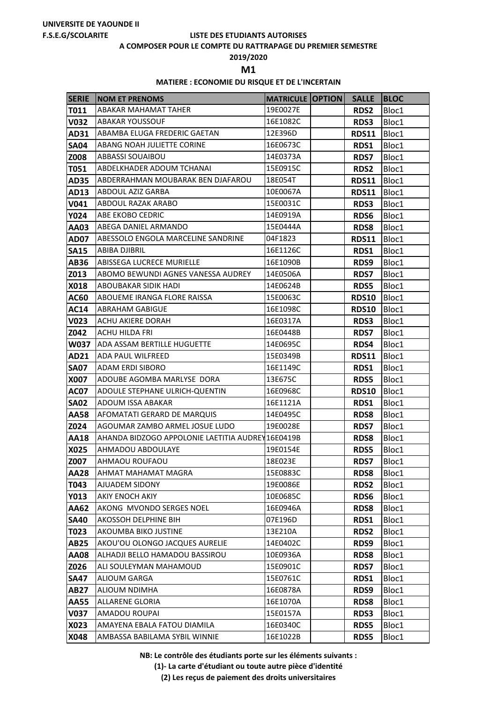**A COMPOSER POUR LE COMPTE DU RATTRAPAGE DU PREMIER SEMESTRE**

**2019/2020**

**M1** 

## **MATIERE : ECONOMIE DU RISQUE ET DE L'INCERTAIN**

| <b>SERIE</b>        | <b>NOM ET PRENOMS</b>                                                               | <b>MATRICULE OPTION</b> | <b>SALLE</b>        | <b>IBLOC</b>   |
|---------------------|-------------------------------------------------------------------------------------|-------------------------|---------------------|----------------|
| T011                | <b>ABAKAR MAHAMAT TAHER</b>                                                         | 19E0027E                | <b>RDS2</b>         | Bloc1          |
| <b>V032</b>         | <b>ABAKAR YOUSSOUF</b>                                                              | 16E1082C                | RDS3                | Bloc1          |
| AD31                | ABAMBA ELUGA FREDERIC GAETAN                                                        | 12E396D                 | <b>RDS11</b>        | Bloc1          |
| <b>SA04</b>         | ABANG NOAH JULIETTE CORINE                                                          | 16E0673C                | RDS1                | Bloc1          |
| Z008                | <b>ABBASSI SOUAIBOU</b>                                                             | 14E0373A                | <b>RDS7</b>         | Bloc1          |
| <b>T051</b>         | ABDELKHADER ADOUM TCHANAI                                                           | 15E0915C                | <b>RDS2</b>         | Bloc1          |
| <b>AD35</b>         | ABDERRAHMAN MOUBARAK BEN DJAFAROU                                                   | 18E054T                 | <b>RDS11</b>        | Bloc1          |
| AD13                | ABDOUL AZIZ GARBA                                                                   | 10E0067A                | <b>RDS11</b>        | Bloc1          |
| V041                | <b>ABDOUL RAZAK ARABO</b>                                                           | 15E0031C                | RDS3                | Bloc1          |
| <b>Y024</b>         | <b>ABE EKOBO CEDRIC</b>                                                             | 14E0919A                | RDS6                | Bloc1          |
| AA03                | ABEGA DANIEL ARMANDO                                                                | 15E0444A                | RDS8                | Bloc1          |
| <b>AD07</b>         | ABESSOLO ENGOLA MARCELINE SANDRINE                                                  | 04F1823                 | <b>RDS11</b>        | Bloc1          |
| <b>SA15</b>         | <b>ABIBA DJIBRIL</b>                                                                | 16E1126C                | RDS1                | Bloc1          |
| <b>AB36</b>         | ABISSEGA LUCRECE MURIELLE                                                           | 16E1090B                | RDS9                | Bloc1          |
| Z013                | ABOMO BEWUNDI AGNES VANESSA AUDREY                                                  | 14E0506A                | <b>RDS7</b>         | Bloc1          |
| X018                | ABOUBAKAR SIDIK HADI                                                                | 14E0624B                | <b>RDS5</b>         | Bloc1          |
| <b>AC60</b>         | ABOUEME IRANGA FLORE RAISSA                                                         | 15E0063C                | <b>RDS10</b>        | Bloc1          |
| <b>AC14</b>         | <b>ABRAHAM GABIGUE</b>                                                              | 16E1098C                | <b>RDS10</b>        | Bloc1          |
| <b>V023</b>         | <b>ACHU AKIERE DORAH</b>                                                            | 16E0317A                | <b>RDS3</b>         | Bloc1          |
| Z042                | ACHU HILDA FRI                                                                      | 16E0448B                | <b>RDS7</b>         | Bloc1          |
| W037                | <b>ADA ASSAM BERTILLE HUGUETTE</b>                                                  | 14E0695C                | RDS4                | Bloc1          |
| AD21                | <b>ADA PAUL WILFREED</b>                                                            | 15E0349B                | <b>RDS11</b>        | Bloc1          |
| <b>SA07</b>         | ADAM ERDI SIBORO                                                                    | 16E1149C                | RDS1                | Bloc1          |
| X007                | ADOUBE AGOMBA MARLYSE DORA                                                          | 13E675C                 | RDS5                | Bloc1          |
| <b>AC07</b>         | ADOULE STEPHANE ULRICH-QUENTIN                                                      | 16E0968C                | <b>RDS10</b>        | Bloc1          |
| <b>SA02</b>         | ADOUM ISSA ABAKAR                                                                   | 16E1121A                | <b>RDS1</b>         | Bloc1          |
| <b>AA58</b>         | AFOMATATI GERARD DE MARQUIS                                                         | 14E0495C                | <b>RDS8</b>         | Bloc1          |
| Z024                | AGOUMAR ZAMBO ARMEL JOSUE LUDO<br>AHANDA BIDZOGO APPOLONIE LAETITIA AUDREY 16E0419B | 19E0028E                | <b>RDS7</b>         | Bloc1          |
| <b>AA18</b><br>X025 | AHMADOU ABDOULAYE                                                                   | 19E0154E                | <b>RDS8</b><br>RDS5 | Bloc1<br>Bloc1 |
| Z007                | AHMAOU ROUFAOU                                                                      | 18E023E                 | <b>RDS7</b>         | Bloc1          |
| <b>AA28</b>         | AHMAT MAHAMAT MAGRA                                                                 | 15E0883C                | <b>RDS8</b>         | Bloc1          |
| T043                | AJUADEM SIDONY                                                                      | 19E0086E                | <b>RDS2</b>         | Bloc1          |
| <b>Y013</b>         | AKIY ENOCH AKIY                                                                     | 10E0685C                | <b>RDS6</b>         | Bloc1          |
| AA62                | AKONG MVONDO SERGES NOEL                                                            | 16E0946A                | <b>RDS8</b>         | Bloc1          |
| <b>SA40</b>         | AKOSSOH DELPHINE BIH                                                                | 07E196D                 | RDS1                | Bloc1          |
| T023                | AKOUMBA BIKO JUSTINE                                                                | 13E210A                 | <b>RDS2</b>         | Bloc1          |
| <b>AB25</b>         | AKOU'OU OLONGO JACQUES AURELIE                                                      | 14E0402C                | RDS9                | Bloc1          |
| <b>AA08</b>         | ALHADJI BELLO HAMADOU BASSIROU                                                      | 10E0936A                | <b>RDS8</b>         | Bloc1          |
| Z026                | ALI SOULEYMAN MAHAMOUD                                                              | 15E0901C                | <b>RDS7</b>         | Bloc1          |
| <b>SA47</b>         | ALIOUM GARGA                                                                        | 15E0761C                | RDS1                | Bloc1          |
| <b>AB27</b>         | ALIOUM NDIMHA                                                                       | 16E0878A                | RDS9                | Bloc1          |
| <b>AA55</b>         | <b>ALLARENE GLORIA</b>                                                              | 16E1070A                | <b>RDS8</b>         | Bloc1          |
| <b>V037</b>         | AMADOU ROUPAI                                                                       | 15E0157A                | <b>RDS3</b>         | Bloc1          |
| X023                | AMAYENA EBALA FATOU DIAMILA                                                         | 16E0340C                | <b>RDS5</b>         | Bloc1          |
| X048                | AMBASSA BABILAMA SYBIL WINNIE                                                       | 16E1022B                | <b>RDS5</b>         | Bloc1          |

**NB: Le contrôle des étudiants porte sur les éléments suivants :**

**(1)- La carte d'étudiant ou toute autre pièce d'identité**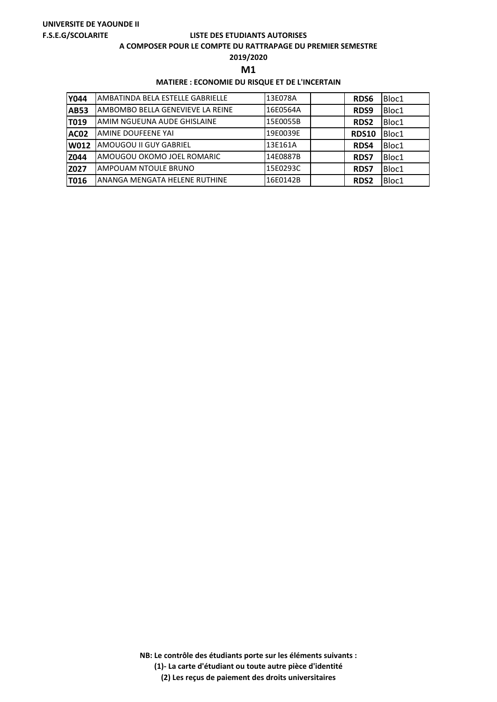#### **A COMPOSER POUR LE COMPTE DU RATTRAPAGE DU PREMIER SEMESTRE**

**2019/2020**

**M1** 

## **MATIERE : ECONOMIE DU RISQUE ET DE L'INCERTAIN**

| <b>Y044</b> | AMBATINDA BELA ESTELLE GABRIELLE | 13E078A  | <b>RDS6</b>  | Bloc1 |
|-------------|----------------------------------|----------|--------------|-------|
| <b>AB53</b> | AMBOMBO BELLA GENEVIEVE LA REINE | 16E0564A | RDS9         | Bloc1 |
| T019        | IAMIM NGUEUNA AUDE GHISLAINE     | 15E0055B | <b>RDS2</b>  | Bloc1 |
| <b>AC02</b> | AMINE DOUFEENE YAI               | 19E0039E | <b>RDS10</b> | Bloc1 |
| <b>W012</b> | AMOUGOU II GUY GABRIEL           | 13E161A  | <b>RDS4</b>  | Bloc1 |
| Z044        | IAMOUGOU OKOMO JOEL ROMARIC      | 14E0887B | <b>RDS7</b>  | Bloc1 |
| Z027        | AMPOUAM NTOULE BRUNO             | 15E0293C | <b>RDS7</b>  | Bloc1 |
| T016        | ANANGA MENGATA HELENE RUTHINE    | 16E0142B | <b>RDS2</b>  | Bloc1 |

**NB: Le contrôle des étudiants porte sur les éléments suivants : (1)- La carte d'étudiant ou toute autre pièce d'identité**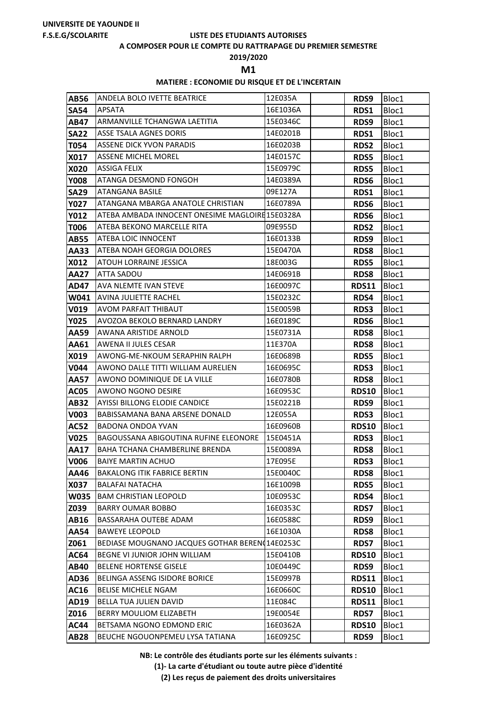#### **A COMPOSER POUR LE COMPTE DU RATTRAPAGE DU PREMIER SEMESTRE**

**2019/2020**

**M1** 

## **MATIERE : ECONOMIE DU RISQUE ET DE L'INCERTAIN**

| <b>AB56</b> | ANDELA BOLO IVETTE BEATRICE                     | 12E035A  | RDS9         | Bloc1 |
|-------------|-------------------------------------------------|----------|--------------|-------|
| <b>SA54</b> | <b>APSATA</b>                                   | 16E1036A | RDS1         | Bloc1 |
| <b>AB47</b> | ARMANVILLE TCHANGWA LAETITIA                    | 15E0346C | RDS9         | Bloc1 |
| <b>SA22</b> | ASSE TSALA AGNES DORIS                          | 14E0201B | RDS1         | Bloc1 |
| T054        | <b>ASSENE DICK YVON PARADIS</b>                 | 16E0203B | <b>RDS2</b>  | Bloc1 |
| X017        | <b>ASSENE MICHEL MOREL</b>                      | 14E0157C | <b>RDS5</b>  | Bloc1 |
| X020        | <b>ASSIGA FELIX</b>                             | 15E0979C | <b>RDS5</b>  | Bloc1 |
| <b>Y008</b> | <b>ATANGA DESMOND FONGOH</b>                    | 14E0389A | RDS6         | Bloc1 |
| <b>SA29</b> | <b>ATANGANA BASILE</b>                          | 09E127A  | RDS1         | Bloc1 |
| <b>Y027</b> | ATANGANA MBARGA ANATOLE CHRISTIAN               | 16E0789A | <b>RDS6</b>  | Bloc1 |
| <b>Y012</b> | ATEBA AMBADA INNOCENT ONESIME MAGLOIRE 15E0328A |          | RDS6         | Bloc1 |
| T006        | ATEBA BEKONO MARCELLE RITA                      | 09E955D  | <b>RDS2</b>  | Bloc1 |
| <b>AB55</b> | ATEBA LOIC INNOCENT                             | 16E0133B | RDS9         | Bloc1 |
| <b>AA33</b> | ATEBA NOAH GEORGIA DOLORES                      | 15E0470A | <b>RDS8</b>  | Bloc1 |
| X012        | ATOUH LORRAINE JESSICA                          | 18E003G  | <b>RDS5</b>  | Bloc1 |
| <b>AA27</b> | ATTA SADOU                                      | 14E0691B | <b>RDS8</b>  | Bloc1 |
| <b>AD47</b> | <b>AVA NLEMTE IVAN STEVE</b>                    | 16E0097C | <b>RDS11</b> | Bloc1 |
| W041        | <b>AVINA JULIETTE RACHEL</b>                    | 15E0232C | RDS4         | Bloc1 |
| <b>V019</b> | <b>AVOM PARFAIT THIBAUT</b>                     | 15E0059B | <b>RDS3</b>  | Bloc1 |
| <b>Y025</b> | AVOZOA BEKOLO BERNARD LANDRY                    | 16E0189C | <b>RDS6</b>  | Bloc1 |
| AA59        | AWANA ARISTIDE ARNOLD                           | 15E0731A | <b>RDS8</b>  | Bloc1 |
| AA61        | <b>AWENA II JULES CESAR</b>                     | 11E370A  | <b>RDS8</b>  | Bloc1 |
| X019        | AWONG-ME-NKOUM SERAPHIN RALPH                   | 16E0689B | <b>RDS5</b>  | Bloc1 |
| <b>V044</b> | AWONO DALLE TITTI WILLIAM AURELIEN              | 16E0695C | <b>RDS3</b>  | Bloc1 |
| <b>AA57</b> | AWONO DOMINIQUE DE LA VILLE                     | 16E0780B | <b>RDS8</b>  | Bloc1 |
| <b>AC05</b> | <b>AWONO NGONO DESIRE</b>                       | 16E0953C | <b>RDS10</b> | Bloc1 |
| <b>AB32</b> | <b>AYISSI BILLONG ELODIE CANDICE</b>            | 15E0221B | RDS9         | Bloc1 |
| <b>V003</b> | BABISSAMANA BANA ARSENE DONALD                  | 12E055A  | <b>RDS3</b>  | Bloc1 |
| <b>AC52</b> | <b>BADONA ONDOA YVAN</b>                        | 16E0960B | <b>RDS10</b> | Bloc1 |
| <b>V025</b> | <b>BAGOUSSANA ABIGOUTINA RUFINE ELEONORE</b>    | 15E0451A | <b>RDS3</b>  | Bloc1 |
| <b>AA17</b> | <b>BAHA TCHANA CHAMBERLINE BRENDA</b>           | 15E0089A | <b>RDS8</b>  | Bloc1 |
| V006        | <b>BAIYE MARTIN ACHUO</b>                       | 17E095E  | RDS3         | Bloc1 |
| AA46        | <b>BAKALONG ITIK FABRICE BERTIN</b>             | 15E0040C | RDS8         | Bloc1 |
| X037        | <b>BALAFAI NATACHA</b>                          | 16E1009B | <b>RDS5</b>  | Bloc1 |
| <b>W035</b> | <b>BAM CHRISTIAN LEOPOLD</b>                    | 10E0953C | RDS4         | Bloc1 |
| Z039        | <b>BARRY OUMAR BOBBO</b>                        | 16E0353C | <b>RDS7</b>  | Bloc1 |
| <b>AB16</b> | <b>BASSARAHA OUTEBE ADAM</b>                    | 16E0588C | RDS9         | Bloc1 |
| <b>AA54</b> | <b>BAWEYE LEOPOLD</b>                           | 16E1030A | <b>RDS8</b>  | Bloc1 |
| Z061        | BEDIASE MOUGNANO JACQUES GOTHAR BEREN(14E0253C  |          | <b>RDS7</b>  | Bloc1 |
| <b>AC64</b> | BEGNE VI JUNIOR JOHN WILLIAM                    | 15E0410B | <b>RDS10</b> | Bloc1 |
| <b>AB40</b> | <b>BELENE HORTENSE GISELE</b>                   | 10E0449C | RDS9         | Bloc1 |
| <b>AD36</b> | BELINGA ASSENG ISIDORE BORICE                   | 15E0997B | <b>RDS11</b> | Bloc1 |
| <b>AC16</b> | <b>BELISE MICHELE NGAM</b>                      | 16E0660C | <b>RDS10</b> | Bloc1 |
| <b>AD19</b> | <b>BELLA TUA JULIEN DAVID</b>                   | 11E084C  | <b>RDS11</b> | Bloc1 |
| Z016        | BERRY MOULIOM ELIZABETH                         | 19E0054E | <b>RDS7</b>  | Bloc1 |
| <b>AC44</b> | BETSAMA NGONO EDMOND ERIC                       | 16E0362A | <b>RDS10</b> | Bloc1 |
| <b>AB28</b> | BEUCHE NGOUONPEMEU LYSA TATIANA                 | 16E0925C | RDS9         | Bloc1 |

**NB: Le contrôle des étudiants porte sur les éléments suivants :**

**(1)- La carte d'étudiant ou toute autre pièce d'identité**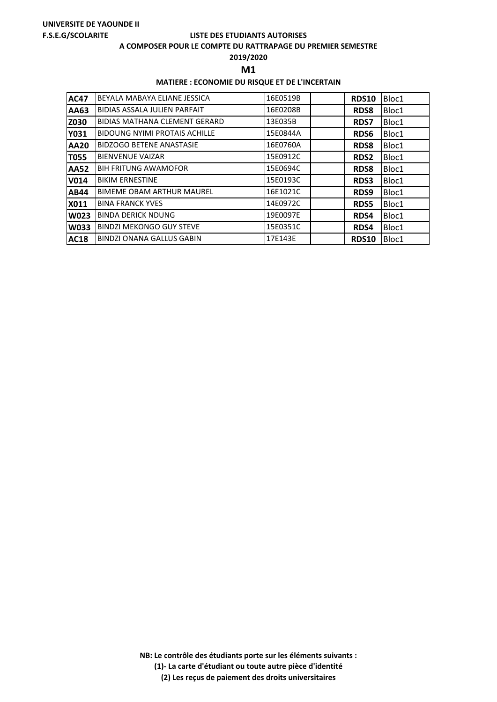#### **A COMPOSER POUR LE COMPTE DU RATTRAPAGE DU PREMIER SEMESTRE**

**2019/2020**

**M1** 

## **MATIERE : ECONOMIE DU RISQUE ET DE L'INCERTAIN**

| <b>AC47</b> | BEYALA MABAYA ELIANE JESSICA         | 16E0519B | <b>RDS10</b> | Bloc1 |
|-------------|--------------------------------------|----------|--------------|-------|
| AA63        | BIDIAS ASSALA JULIEN PARFAIT         | 16E0208B | <b>RDS8</b>  | Bloc1 |
| <b>Z030</b> | <b>BIDIAS MATHANA CLEMENT GERARD</b> | 13E035B  | <b>RDS7</b>  | Bloc1 |
| <b>Y031</b> | <b>BIDOUNG NYIMI PROTAIS ACHILLE</b> | 15E0844A | RDS6         | Bloc1 |
| <b>AA20</b> | <b>BIDZOGO BETENE ANASTASIE</b>      | 16E0760A | <b>RDS8</b>  | Bloc1 |
| T055        | <b>BIENVENUE VAIZAR</b>              | 15E0912C | <b>RDS2</b>  | Bloc1 |
| <b>AA52</b> | <b>BIH FRITUNG AWAMOFOR</b>          | 15E0694C | <b>RDS8</b>  | Bloc1 |
| V014        | <b>BIKIM ERNESTINE</b>               | 15E0193C | RDS3         | Bloc1 |
| <b>AB44</b> | <b>BIMEME OBAM ARTHUR MAUREL</b>     | 16E1021C | RDS9         | Bloc1 |
| <b>X011</b> | <b>BINA FRANCK YVES</b>              | 14E0972C | <b>RDS5</b>  | Bloc1 |
| <b>W023</b> | <b>BINDA DERICK NDUNG</b>            | 19E0097E | RDS4         | Bloc1 |
| <b>W033</b> | <b>BINDZI MEKONGO GUY STEVE</b>      | 15E0351C | RDS4         | Bloc1 |
| <b>AC18</b> | <b>BINDZI ONANA GALLUS GABIN</b>     | 17E143E  | <b>RDS10</b> | Bloc1 |

**NB: Le contrôle des étudiants porte sur les éléments suivants : (1)- La carte d'étudiant ou toute autre pièce d'identité**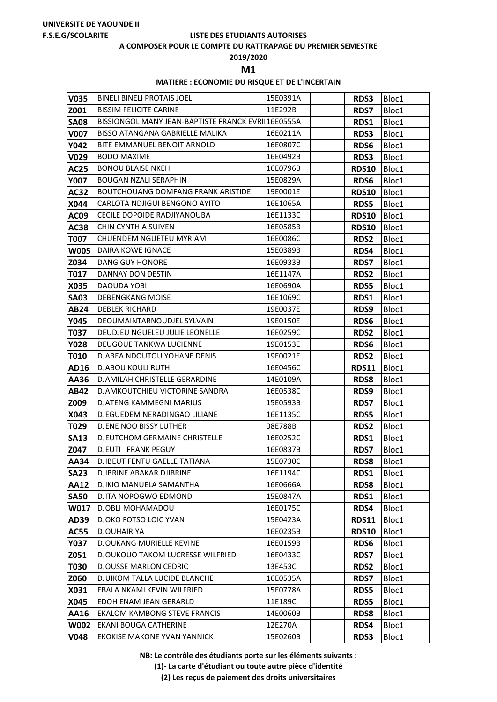#### **A COMPOSER POUR LE COMPTE DU RATTRAPAGE DU PREMIER SEMESTRE**

**2019/2020**

**M1** 

## **MATIERE : ECONOMIE DU RISQUE ET DE L'INCERTAIN**

| <b>V035</b>                | <b>BINELI BINELI PROTAIS JOEL</b>                          | 15E0391A             | <b>RDS3</b>         | Bloc1          |
|----------------------------|------------------------------------------------------------|----------------------|---------------------|----------------|
| Z001                       | <b>BISSIM FELICITE CARINE</b>                              | 11E292B              | <b>RDS7</b>         | Bloc1          |
| <b>SA08</b>                | BISSIONGOL MANY JEAN-BAPTISTE FRANCK EVRII16E0555A         |                      | RDS1                | Bloc1          |
| <b>V007</b>                | BISSO ATANGANA GABRIELLE MALIKA                            | 16E0211A             | <b>RDS3</b>         | Bloc1          |
| Y042                       | BITE EMMANUEL BENOIT ARNOLD                                | 16E0807C             | RDS6                | Bloc1          |
| V029                       | <b>BODO MAXIME</b>                                         | 16E0492B             | <b>RDS3</b>         | Bloc1          |
| <b>AC25</b>                | <b>BONOU BLAISE NKEH</b>                                   | 16E0796B             | <b>RDS10</b>        | Bloc1          |
| <b>Y007</b>                | <b>BOUGAN NZALI SERAPHIN</b>                               | 15E0829A             | RDS6                | Bloc1          |
| <b>AC32</b>                | <b>BOUTCHOUANG DOMFANG FRANK ARISTIDE</b>                  | 19E0001E             | <b>RDS10</b>        | Bloc1          |
| X044                       | CARLOTA NDJIGUI BENGONO AYITO                              | 16E1065A             | <b>RDS5</b>         | Bloc1          |
| <b>AC09</b>                | CECILE DOPOIDE RADJIYANOUBA                                | 16E1133C             | <b>RDS10</b>        | Bloc1          |
| <b>AC38</b>                | CHIN CYNTHIA SUIVEN                                        | 16E0585B             | <b>RDS10</b>        | Bloc1          |
| <b>T007</b>                | CHUENDEM NGUETEU MYRIAM                                    | 16E0086C             | <b>RDS2</b>         | Bloc1          |
| <b>W005</b>                | DAIRA KOWE IGNACE                                          | 15E0389B             | RDS4                | Bloc1          |
| Z034                       | <b>DANG GUY HONORE</b>                                     | 16E0933B             | <b>RDS7</b>         | Bloc1          |
| T017                       | DANNAY DON DESTIN                                          | 16E1147A             | <b>RDS2</b>         | Bloc1          |
| X035                       | DAOUDA YOBI                                                | 16E0690A             | RDS5                | Bloc1          |
| <b>SA03</b>                | <b>DEBENGKANG MOISE</b>                                    | 16E1069C             | RDS1                | Bloc1          |
| <b>AB24</b>                | <b>DEBLEK RICHARD</b>                                      | 19E0037E             | RDS9                | Bloc1          |
| <b>Y045</b>                | DEOUMAINTARNOUDJEL SYLVAIN                                 | 19E0150E             | RDS6                | Bloc1          |
| T037                       | DEUDJEU NGUELEU JULIE LEONELLE                             | 16E0259C             | <b>RDS2</b>         | Bloc1          |
| <b>Y028</b>                | DEUGOUE TANKWA LUCIENNE                                    | 19E0153E             | RDS6                | Bloc1          |
| <b>T010</b>                | DJABEA NDOUTOU YOHANE DENIS                                | 19E0021E             | <b>RDS2</b>         | Bloc1          |
| AD16                       | <b>DJABOU KOULI RUTH</b>                                   | 16E0456C             | <b>RDS11</b>        | Bloc1          |
| AA36                       | DJAMILAH CHRISTELLE GERARDINE                              | 14E0109A             | <b>RDS8</b>         | Bloc1          |
| <b>AB42</b>                | DJAMKOUTCHIEU VICTORINE SANDRA                             | 16E0538C             | RDS9                | Bloc1          |
| Z009                       | DJATENG KAMMEGNI MARIUS                                    | 15E0593B             | <b>RDS7</b>         | Bloc1          |
| X043                       | DJEGUEDEM NERADINGAO LILIANE                               | 16E1135C             | <b>RDS5</b>         | Bloc1          |
| T029                       | DJENE NOO BISSY LUTHER                                     | 08E788B              | RDS2                | Bloc1          |
| <b>SA13</b>                | <b>DJEUTCHOM GERMAINE CHRISTELLE</b>                       | 16E0252C             | RDS1                | Bloc1          |
| Z047                       | DJEUTI FRANK PEGUY                                         | 16E0837B             | <b>RDS7</b>         | Bloc1          |
| <b>AA34</b>                | <b>DJIBEUT FENTU GAELLE TATIANA</b>                        | 15E0730C             | <b>RDS8</b>         | Bloc1          |
| <b>SA23</b><br><b>AA12</b> | <b>DJIBRINE ABAKAR DJIBRINE</b><br>DJIKIO MANUELA SAMANTHA | 16E1194C             | RDS1                | Bloc1          |
| <b>SA50</b>                | DJITA NOPOGWO EDMOND                                       | 16E0666A<br>15E0847A | <b>RDS8</b><br>RDS1 | Bloc1<br>Bloc1 |
| W017                       | DJOBLI MOHAMADOU                                           | 16E0175C             | RDS4                | Bloc1          |
| <b>AD39</b>                | DJOKO FOTSO LOIC YVAN                                      | 15E0423A             | <b>RDS11</b>        | Bloc1          |
| <b>AC55</b>                | <b>DJOUHAIRIYA</b>                                         | 16E0235B             | <b>RDS10</b>        | Bloc1          |
| <b>Y037</b>                | <b>DJOUKANG MURIELLE KEVINE</b>                            | 16E0159B             | RDS6                | Bloc1          |
| Z051                       | <b>DJOUKOUO TAKOM LUCRESSE WILFRIED</b>                    | 16E0433C             | <b>RDS7</b>         | Bloc1          |
| <b>T030</b>                | <b>DJOUSSE MARLON CEDRIC</b>                               | 13E453C              | <b>RDS2</b>         | Bloc1          |
| Z060                       | DJUIKOM TALLA LUCIDE BLANCHE                               | 16E0535A             | <b>RDS7</b>         | Bloc1          |
| X031                       | EBALA NKAMI KEVIN WILFRIED                                 | 15E0778A             | RDS5                | Bloc1          |
| X045                       | EDOH ENAM JEAN GERARLD                                     | 11E189C              | <b>RDS5</b>         | Bloc1          |
| AA16                       | <b>EKALOM KAMBONG STEVE FRANCIS</b>                        | 14E0060B             | <b>RDS8</b>         | Bloc1          |
| <b>W002</b>                | EKANI BOUGA CATHERINE                                      | 12E270A              | RDS4                | Bloc1          |
| <b>V048</b>                | <b>EKOKISE MAKONE YVAN YANNICK</b>                         | 15E0260B             | <b>RDS3</b>         | Bloc1          |

**NB: Le contrôle des étudiants porte sur les éléments suivants :**

**(1)- La carte d'étudiant ou toute autre pièce d'identité**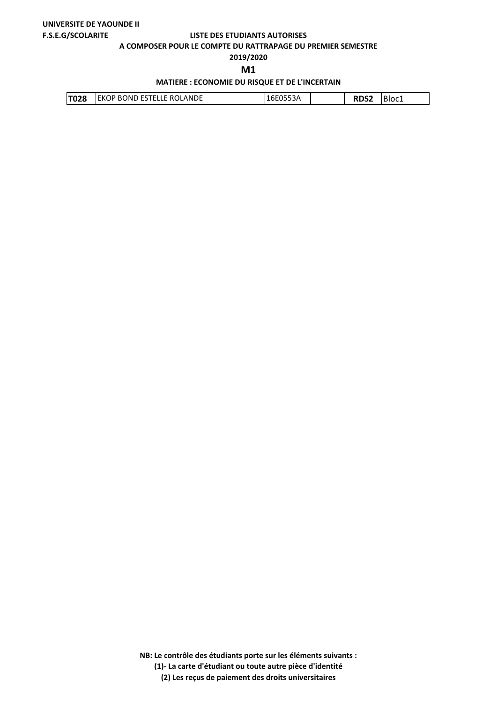**A COMPOSER POUR LE COMPTE DU RATTRAPAGE DU PREMIER SEMESTRE**

**2019/2020**

**M1** 

## **MATIERE : ECONOMIE DU RISQUE ET DE L'INCERTAIN**

| <b>T028</b><br>OLANDE<br>' BOND ESTELLE RO.<br><b>EKOP</b> | エロレロコココア |  | - - - | Ð<br>'BIOC1 |
|------------------------------------------------------------|----------|--|-------|-------------|
|------------------------------------------------------------|----------|--|-------|-------------|

**NB: Le contrôle des étudiants porte sur les éléments suivants :**

**(1)- La carte d'étudiant ou toute autre pièce d'identité**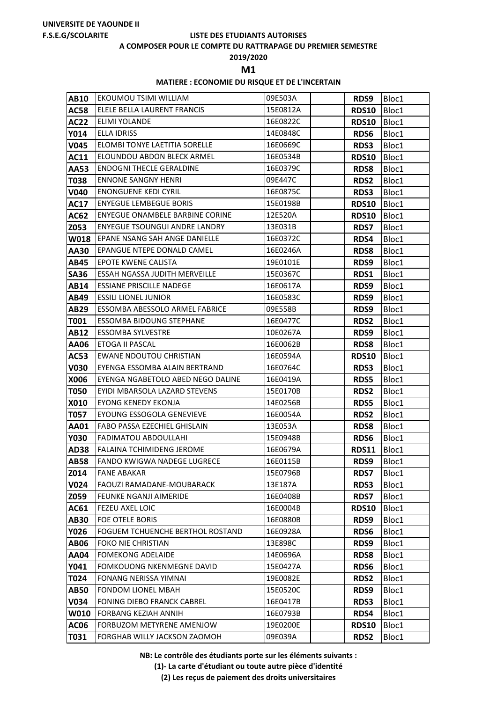#### **A COMPOSER POUR LE COMPTE DU RATTRAPAGE DU PREMIER SEMESTRE**

**2019/2020**

**M1** 

## **MATIERE : ECONOMIE DU RISQUE ET DE L'INCERTAIN**

| <b>AB10</b>  | EKOUMOU TSIMI WILLIAM                                  | 09E503A             | RDS9                        | Bloc1          |
|--------------|--------------------------------------------------------|---------------------|-----------------------------|----------------|
| <b>AC58</b>  | ELELE BELLA LAURENT FRANCIS                            | 15E0812A            | <b>RDS10</b>                | Bloc1          |
| <b>AC22</b>  | ELIMI YOLANDE                                          | 16E0822C            | <b>RDS10</b>                | Bloc1          |
| <b>Y014</b>  | ELLA IDRISS                                            | 14E0848C            | RDS6                        | Bloc1          |
| <b>V045</b>  | ELOMBI TONYE LAETITIA SORELLE                          | 16E0669C            | <b>RDS3</b>                 | Bloc1          |
| <b>AC11</b>  | ELOUNDOU ABDON BLECK ARMEL                             | 16E0534B            | <b>RDS10</b>                | Bloc1          |
| AA53         | <b>ENDOGNI THECLE GERALDINE</b>                        | 16E0379C            | <b>RDS8</b>                 | Bloc1          |
| <b>T038</b>  | <b>ENNONE SANGNY HENRI</b>                             | 09E447C             | <b>RDS2</b>                 | Bloc1          |
| <b>V040</b>  | <b>ENONGUENE KEDI CYRIL</b>                            | 16E0875C            | <b>RDS3</b>                 | Bloc1          |
| <b>AC17</b>  | <b>ENYEGUE LEMBEGUE BORIS</b>                          | 15E0198B            | <b>RDS10</b>                | Bloc1          |
| <b>AC62</b>  | ENYEGUE ONAMBELE BARBINE CORINE                        | 12E520A             | <b>RDS10</b>                | Bloc1          |
| Z053         | <b>ENYEGUE TSOUNGUI ANDRE LANDRY</b>                   | 13E031B             | <b>RDS7</b>                 | Bloc1          |
| <b>W018</b>  | <b>EPANE NSANG SAH ANGE DANIELLE</b>                   | 16E0372C            | RDS4                        | Bloc1          |
| <b>AA30</b>  | <b>EPANGUE NTEPE DONALD CAMEL</b>                      | 16E0246A            | <b>RDS8</b>                 | Bloc1          |
| AB45         | <b>EPOTE KWENE CALISTA</b>                             | 19E0101E            | RDS9                        | Bloc1          |
| <b>SA36</b>  | ESSAH NGASSA JUDITH MERVEILLE                          | 15E0367C            | <b>RDS1</b>                 | Bloc1          |
| <b>AB14</b>  | <b>ESSIANE PRISCILLE NADEGE</b>                        | 16E0617A            | RDS9                        | Bloc1          |
| AB49         | <b>ESSILI LIONEL JUNIOR</b>                            | 16E0583C            | RDS9                        | Bloc1          |
| AB29         | ESSOMBA ABESSOLO ARMEL FABRICE                         | 09E558B             | RDS9                        | Bloc1          |
| T001         | <b>ESSOMBA BIDOUNG STEPHANE</b>                        | 16E0477C            | <b>RDS2</b>                 | Bloc1          |
| <b>AB12</b>  | ESSOMBA SYLVESTRE                                      | 10E0267A            | RDS9                        | Bloc1          |
| AA06         | ETOGA II PASCAL                                        | 16E0062B            | <b>RDS8</b>                 | Bloc1          |
| <b>AC53</b>  | <b>EWANE NDOUTOU CHRISTIAN</b>                         | 16E0594A            | <b>RDS10</b>                | Bloc1          |
| <b>V030</b>  | EYENGA ESSOMBA ALAIN BERTRAND                          | 16E0764C            | <b>RDS3</b>                 | Bloc1          |
| X006         | EYENGA NGABETOLO ABED NEGO DALINE                      | 16E0419A            | <b>RDS5</b>                 | Bloc1          |
| <b>T050</b>  | EYIDI MBARSOLA LAZARD STEVENS                          | 15E0170B            | <b>RDS2</b>                 | Bloc1          |
| X010         | EYONG KENEDY EKONJA                                    | 14E0256B            | <b>RDS5</b>                 | Bloc1          |
| T057         | EYOUNG ESSOGOLA GENEVIEVE                              | 16E0054A            | <b>RDS2</b>                 | Bloc1          |
| <b>AA01</b>  | FABO PASSA EZECHIEL GHISLAIN                           | 13E053A             | <b>RDS8</b>                 | Bloc1          |
| <b>Y030</b>  | FADIMATOU ABDOULLAHI                                   | 15E0948B            | <b>RDS6</b>                 | Bloc1          |
| <b>AD38</b>  | <b>FALAINA TCHIMIDENG JEROME</b>                       | 16E0679A            | <b>RDS11</b>                | Bloc1          |
| <b>AB58</b>  | <b>FANDO KWIGWA NADEGE LUGRECE</b>                     | 16E0115B            | RDS9                        | Bloc1          |
| Z014         | <b>FANE ABAKAR</b><br><b>FAOUZI RAMADANE-MOUBARACK</b> | 15E0796B            | <b>RDS7</b>                 | Bloc1          |
| V024         | <b>FEUNKE NGANJI AIMERIDE</b>                          | 13E187A<br>16E0408B | <b>RDS3</b>                 | Bloc1          |
| Z059<br>AC61 | FEZEU AXEL LOIC                                        | 16E0004B            | <b>RDS7</b><br><b>RDS10</b> | Bloc1<br>Bloc1 |
| <b>AB30</b>  | FOE OTELE BORIS                                        | 16E0880B            | RDS9                        | Bloc1          |
| Y026         | <b>FOGUEM TCHUENCHE BERTHOL ROSTAND</b>                | 16E0928A            | RDS6                        | Bloc1          |
| <b>AB06</b>  | <b>FOKO NIE CHRISTIAN</b>                              | 13E898C             | RDS9                        | Bloc1          |
| <b>AA04</b>  | <b>FOMEKONG ADELAIDE</b>                               | 14E0696A            | <b>RDS8</b>                 | Bloc1          |
| Y041         | <b>FOMKOUONG NKENMEGNE DAVID</b>                       | 15E0427A            | RDS6                        | Bloc1          |
| T024         | FONANG NERISSA YIMNAI                                  | 19E0082E            | <b>RDS2</b>                 | Bloc1          |
| <b>AB50</b>  | FONDOM LIONEL MBAH                                     | 15E0520C            | RDS9                        | Bloc1          |
| V034         | <b>FONING DIEBO FRANCK CABREL</b>                      | 16E0417B            | RDS3                        | Bloc1          |
| W010         | <b>FORBANG KEZIAH ANNIH</b>                            | 16E0793B            | RDS4                        | Bloc1          |
| <b>AC06</b>  | FORBUZOM METYRENE AMENJOW                              | 19E0200E            | <b>RDS10</b>                | Bloc1          |
| T031         | FORGHAB WILLY JACKSON ZAOMOH                           | 09E039A             | RDS2                        | Bloc1          |

**NB: Le contrôle des étudiants porte sur les éléments suivants :**

**(1)- La carte d'étudiant ou toute autre pièce d'identité**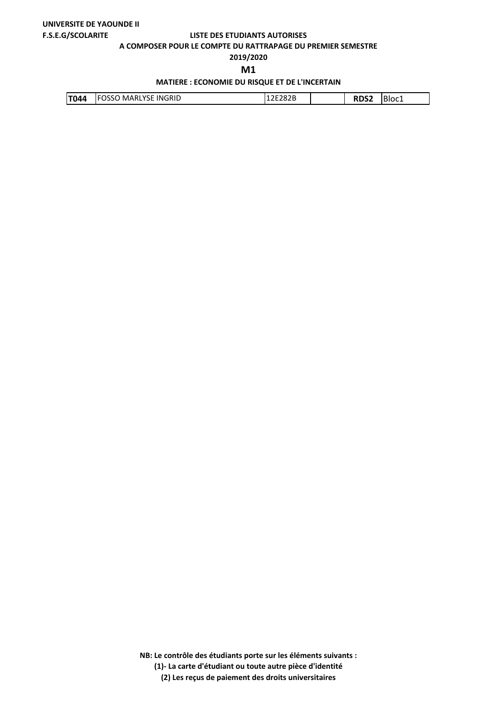**A COMPOSER POUR LE COMPTE DU RATTRAPAGE DU PREMIER SEMESTRE**

# **2019/2020**

**M1** 

## **MATIERE : ECONOMIE DU RISQUE ET DE L'INCERTAIN**

| INGRID<br>MARLYSE<br><b>T044</b><br>_ מרסרי<br>----<br>Ð<br>DSSC.<br>'Bloc1<br>IZEZOZD |
|----------------------------------------------------------------------------------------|
|----------------------------------------------------------------------------------------|

**NB: Le contrôle des étudiants porte sur les éléments suivants :**

**(1)- La carte d'étudiant ou toute autre pièce d'identité**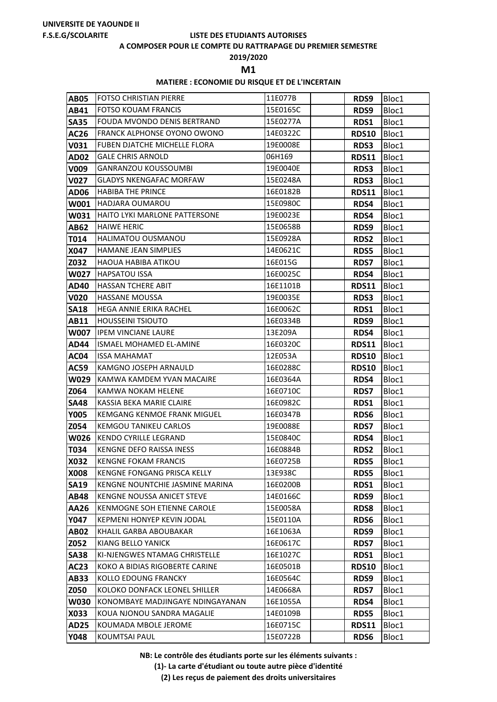#### **A COMPOSER POUR LE COMPTE DU RATTRAPAGE DU PREMIER SEMESTRE**

**2019/2020**

**M1** 

## **MATIERE : ECONOMIE DU RISQUE ET DE L'INCERTAIN**

| <b>AB05</b>         | <b>FOTSO CHRISTIAN PIERRE</b>                           | 11E077B              | RDS9         | Bloc1          |
|---------------------|---------------------------------------------------------|----------------------|--------------|----------------|
| AB41                | <b>FOTSO KOUAM FRANCIS</b>                              | 15E0165C             | RDS9         | Bloc1          |
| <b>SA35</b>         | <b>FOUDA MVONDO DENIS BERTRAND</b>                      | 15E0277A             | RDS1         | Bloc1          |
| <b>AC26</b>         | <b>FRANCK ALPHONSE OYONO OWONO</b>                      | 14E0322C             | <b>RDS10</b> | Bloc1          |
| V031                | <b>FUBEN DJATCHE MICHELLE FLORA</b>                     | 19E0008E             | RDS3         | Bloc1          |
| <b>AD02</b>         | <b>GALE CHRIS ARNOLD</b>                                | 06H169               | <b>RDS11</b> | Bloc1          |
| V009                | <b>GANRANZOU KOUSSOUMBI</b>                             | 19E0040E             | <b>RDS3</b>  | Bloc1          |
| <b>V027</b>         | <b>GLADYS NKENGAFAC MORFAW</b>                          | 15E0248A             | RDS3         | Bloc1          |
| <b>AD06</b>         | <b>HABIBA THE PRINCE</b>                                | 16E0182B             | <b>RDS11</b> | Bloc1          |
| W001                | <b>HADJARA OUMAROU</b>                                  | 15E0980C             | RDS4         | Bloc1          |
| W031                | <b>HAITO LYKI MARLONE PATTERSONE</b>                    | 19E0023E             | RDS4         | Bloc1          |
| <b>AB62</b>         | <b>HAIWE HERIC</b>                                      | 15E0658B             | RDS9         | Bloc1          |
| T014                | HALIMATOU OUSMANOU                                      | 15E0928A             | <b>RDS2</b>  | Bloc1          |
| X047                | HAMANE JEAN SIMPLIES                                    | 14E0621C             | <b>RDS5</b>  | Bloc1          |
| Z032                | HAOUA HABIBA ATIKOU                                     | 16E015G              | <b>RDS7</b>  | Bloc1          |
| <b>W027</b>         | <b>HAPSATOU ISSA</b>                                    | 16E0025C             | RDS4         | Bloc1          |
| <b>AD40</b>         | <b>HASSAN TCHERE ABIT</b>                               | 16E1101B             | <b>RDS11</b> | Bloc1          |
| <b>V020</b>         | <b>HASSANE MOUSSA</b>                                   | 19E0035E             | <b>RDS3</b>  | Bloc1          |
| <b>SA18</b>         | HEGA ANNIE ERIKA RACHEL                                 | 16E0062C             | RDS1         | Bloc1          |
| <b>AB11</b>         | <b>HOUSSEINI TSIOUTO</b>                                | 16E0334B             | RDS9         | Bloc1          |
| <b>W007</b>         | <b>IPEM VINCIANE LAURE</b>                              | 13E209A              | RDS4         | Bloc1          |
| <b>AD44</b>         | ISMAEL MOHAMED EL-AMINE                                 | 16E0320C             | <b>RDS11</b> | Bloc1          |
| AC04                | ISSA MAHAMAT                                            | 12E053A              | <b>RDS10</b> | Bloc1          |
| <b>AC59</b>         | KAMGNO JOSEPH ARNAULD                                   | 16E0288C             | <b>RDS10</b> | Bloc1          |
| <b>W029</b>         | KAMWA KAMDEM YVAN MACAIRE                               | 16E0364A             | RDS4         | Bloc1          |
| Z064                | KAMWA NOKAM HELENE                                      | 16E0710C             | <b>RDS7</b>  | Bloc1          |
| <b>SA48</b>         | KASSIA BEKA MARIE CLAIRE                                | 16E0982C             | RDS1         | Bloc1          |
| <b>Y005</b>         | <b>KEMGANG KENMOE FRANK MIGUEL</b>                      | 16E0347B             | <b>RDS6</b>  | Bloc1          |
| Z054                | <b>KEMGOU TANIKEU CARLOS</b>                            | 19E0088E             | <b>RDS7</b>  | Bloc1          |
| <b>W026</b>         | <b>KENDO CYRILLE LEGRAND</b>                            | 15E0840C             | RDS4         | Bloc1          |
| T034                | KENGNE DEFO RAISSA INESS<br><b>KENGNE FOKAM FRANCIS</b> | 16E0884B<br>16E0725B | <b>RDS2</b>  | Bloc1          |
| <b>X032</b><br>X008 | KENGNE FONGANG PRISCA KELLY                             | 13E938C              | <b>RDS5</b>  | Bloc1          |
| <b>SA19</b>         | KENGNE NOUNTCHIE JASMINE MARINA                         | 16E0200B             | <b>RDS5</b>  | Bloc1<br>Bloc1 |
| <b>AB48</b>         | KENGNE NOUSSA ANICET STEVE                              | 14E0166C             | RDS1<br>RDS9 | Bloc1          |
| AA26                | KENMOGNE SOH ETIENNE CAROLE                             | 15E0058A             | <b>RDS8</b>  | Bloc1          |
| <b>Y047</b>         | <b>KEPMENI HONYEP KEVIN JODAL</b>                       | 15E0110A             | <b>RDS6</b>  | Bloc1          |
| <b>AB02</b>         | KHALIL GARBA ABOUBAKAR                                  | 16E1063A             | <b>RDS9</b>  | Bloc1          |
| Z052                | KIANG BELLO YANICK                                      | 16E0617C             | <b>RDS7</b>  | Bloc1          |
| <b>SA38</b>         | KI-NJENGWES NTAMAG CHRISTELLE                           | 16E1027C             | RDS1         | Bloc1          |
| <b>AC23</b>         | KOKO A BIDIAS RIGOBERTE CARINE                          | 16E0501B             | <b>RDS10</b> | Bloc1          |
| <b>AB33</b>         | KOLLO EDOUNG FRANCKY                                    | 16E0564C             | RDS9         | Bloc1          |
| Z050                | KOLOKO DONFACK LEONEL SHILLER                           | 14E0668A             | <b>RDS7</b>  | Bloc1          |
| <b>W030</b>         | KONOMBAYE MADJINGAYE NDINGAYANAN                        | 16E1055A             | RDS4         | Bloc1          |
| X033                | KOUA NJONOU SANDRA MAGALIE                              | 14E0109B             | <b>RDS5</b>  | Bloc1          |
| <b>AD25</b>         | KOUMADA MBOLE JEROME                                    | 16E0715C             | <b>RDS11</b> | Bloc1          |
| <b>Y048</b>         | KOUMTSAI PAUL                                           | 15E0722B             | <b>RDS6</b>  | Bloc1          |

**NB: Le contrôle des étudiants porte sur les éléments suivants :**

**(1)- La carte d'étudiant ou toute autre pièce d'identité**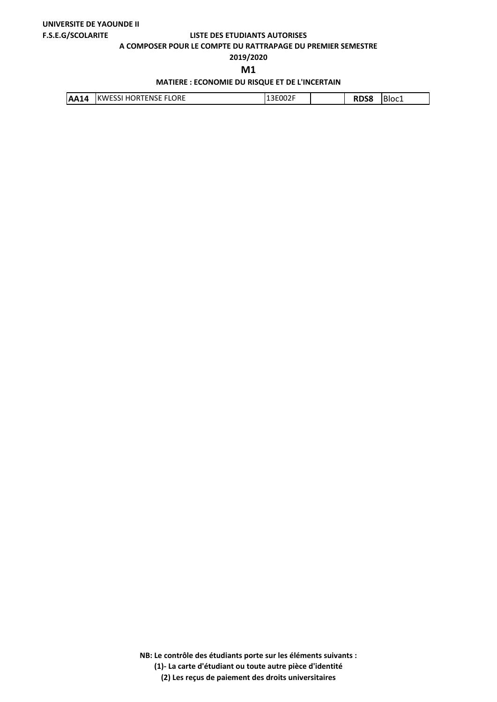**A COMPOSER POUR LE COMPTE DU RATTRAPAGE DU PREMIER SEMESTRE**

## **2019/2020**

**M1** 

## **MATIERE : ECONOMIE DU RISQUE ET DE L'INCERTAIN**

| <b>IKWESSI HORTENSE FLORE</b><br><b>AA14</b> | 13E002F |  | ----<br>58 | Bloc1 |
|----------------------------------------------|---------|--|------------|-------|
|----------------------------------------------|---------|--|------------|-------|

**NB: Le contrôle des étudiants porte sur les éléments suivants :**

**(1)- La carte d'étudiant ou toute autre pièce d'identité**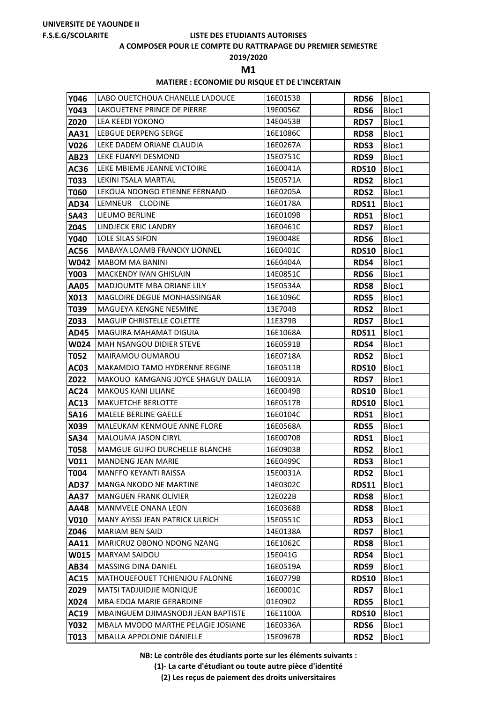#### **A COMPOSER POUR LE COMPTE DU RATTRAPAGE DU PREMIER SEMESTRE**

**2019/2020**

**M1** 

## **MATIERE : ECONOMIE DU RISQUE ET DE L'INCERTAIN**

| Y046                | LABO OUETCHOUA CHANELLE LADOUCE                                    | 16E0153B             | <b>RDS6</b>                | Bloc1          |
|---------------------|--------------------------------------------------------------------|----------------------|----------------------------|----------------|
| <b>Y043</b>         | LAKOUETENE PRINCE DE PIERRE                                        | 19E0056Z             | <b>RDS6</b>                | Bloc1          |
| Z020                | LEA KEEDI YOKONO                                                   | 14E0453B             | <b>RDS7</b>                | Bloc1          |
| AA31                | LEBGUE DERPENG SERGE                                               | 16E1086C             | <b>RDS8</b>                | Bloc1          |
| <b>V026</b>         | LEKE DADEM ORIANE CLAUDIA                                          | 16E0267A             | RDS3                       | Bloc1          |
| <b>AB23</b>         | LEKE FUANYI DESMOND                                                | 15E0751C             | RDS9                       | Bloc1          |
| AC36                | LEKE MBIEME JEANNE VICTOIRE                                        | 16E0041A             | <b>RDS10</b>               | Bloc1          |
| T033                | LEKINI TSALA MARTIAL                                               | 15E0571A             | RDS2                       | Bloc1          |
| T060                | LEKOUA NDONGO ETIENNE FERNAND                                      | 16E0205A             | <b>RDS2</b>                | Bloc1          |
| <b>AD34</b>         | LEMNEUR CLODINE                                                    | 16E0178A             | <b>RDS11</b>               | Bloc1          |
| <b>SA43</b>         | LIEUMO BERLINE                                                     | 16E0109B             | RDS1                       | Bloc1          |
| Z045                | <b>LINDJECK ERIC LANDRY</b>                                        | 16E0461C             | <b>RDS7</b>                | Bloc1          |
| <b>Y040</b>         | <b>LOLE SILAS SIFON</b>                                            | 19E0048E             | <b>RDS6</b>                | Bloc1          |
| <b>AC56</b>         | <b>MABAYA LOAMB FRANCKY LIONNEL</b>                                | 16E0401C             | <b>RDS10</b>               | Bloc1          |
| <b>W042</b>         | <b>MABOM MA BANINI</b>                                             | 16E0404A             | RDS4                       | Bloc1          |
| <b>Y003</b>         | <b>MACKENDY IVAN GHISLAIN</b>                                      | 14E0851C             | <b>RDS6</b>                | Bloc1          |
| <b>AA05</b>         | <b>MADJOUMTE MBA ORIANE LILY</b>                                   | 15E0534A             | <b>RDS8</b>                | Bloc1          |
| X013                | <b>MAGLOIRE DEGUE MONHASSINGAR</b>                                 | 16E1096C             | <b>RDS5</b>                | Bloc1          |
| T039                | MAGUEYA KENGNE NESMINE                                             | 13E704B              | <b>RDS2</b>                | Bloc1          |
| Z033                | <b>MAGUIP CHRISTELLE COLETTE</b>                                   | 11E379B              | <b>RDS7</b>                | Bloc1          |
| <b>AD45</b>         | <b>MAGUIRA MAHAMAT DIGUIA</b>                                      | 16E1068A             | <b>RDS11</b>               | Bloc1          |
| <b>W024</b>         | MAH NSANGOU DIDIER STEVE                                           | 16E0591B             | RDS4                       | Bloc1          |
| T052                | MAIRAMOU OUMAROU                                                   | 16E0718A             | <b>RDS2</b>                | Bloc1          |
| <b>AC03</b>         | <b>MAKAMDJO TAMO HYDRENNE REGINE</b>                               | 16E0511B             | <b>RDS10</b>               | Bloc1          |
| Z022                | MAKOUO KAMGANG JOYCE SHAGUY DALLIA                                 | 16E0091A             | <b>RDS7</b>                | Bloc1          |
| <b>AC24</b>         | <b>MAKOUS KANI LILIANE</b>                                         | 16E0049B             | <b>RDS10</b>               | Bloc1          |
| <b>AC13</b>         | <b>MAKUETCHE BERLOTTE</b>                                          | 16E0517B             | <b>RDS10</b>               | Bloc1          |
| <b>SA16</b>         | <b>MALELE BERLINE GAELLE</b>                                       | 16E0104C             | RDS1                       | Bloc1          |
| X039                | MALEUKAM KENMOUE ANNE FLORE                                        | 16E0568A             | <b>RDS5</b>                | Bloc1          |
| <b>SA34</b>         | <b>MALOUMA JASON CIRYL</b>                                         | 16E0070B             | RDS1                       | Bloc1          |
| <b>T058</b><br>V011 | <b>MAMGUE GUIFO DURCHELLE BLANCHE</b><br><b>MANDENG JEAN MARIE</b> | 16E0903B<br>16E0499C | <b>RDS2</b><br><b>RDS3</b> | Bloc1<br>Bloc1 |
| <b>T004</b>         | MANFFO KEYANTI RAISSA                                              | 15E0031A             | <b>RDS2</b>                | Bloc1          |
| <b>AD37</b>         | <b>MANGA NKODO NE MARTINE</b>                                      | 14E0302C             | <b>RDS11</b>               | Bloc1          |
| <b>AA37</b>         | <b>MANGUEN FRANK OLIVIER</b>                                       | 12E022B              | RDS8                       | Bloc1          |
| <b>AA48</b>         | MANMVELE ONANA LEON                                                | 16E0368B             | <b>RDS8</b>                | Bloc1          |
| <b>V010</b>         | <b>MANY AYISSI JEAN PATRICK ULRICH</b>                             | 15E0551C             | <b>RDS3</b>                | Bloc1          |
| Z046                | <b>MARIAM BEN SAID</b>                                             | 14E0138A             | <b>RDS7</b>                | Bloc1          |
| <b>AA11</b>         | MARICRUZ OBONO NDONG NZANG                                         | 16E1062C             | <b>RDS8</b>                | Bloc1          |
| W015                | <b>MARYAM SAIDOU</b>                                               | 15E041G              | RDS4                       | Bloc1          |
| <b>AB34</b>         | <b>MASSING DINA DANIEL</b>                                         | 16E0519A             | RDS9                       | Bloc1          |
| <b>AC15</b>         | MATHOUEFOUET TCHIENJOU FALONNE                                     | 16E0779B             | <b>RDS10</b>               | Bloc1          |
| Z029                | <b>MATSI TADJUIDJIE MONIQUE</b>                                    | 16E0001C             | <b>RDS7</b>                | Bloc1          |
| X024                | MBA EDOA MARIE GERARDINE                                           | 01E0902              | RDS5                       | Bloc1          |
| <b>AC19</b>         | <b>MBAINGUEM DJIMASNODJI JEAN BAPTISTE</b>                         | 16E1100A             | <b>RDS10</b>               | Bloc1          |
| <b>Y032</b>         | <b>MBALA MVODO MARTHE PELAGIE JOSIANE</b>                          | 16E0336A             | RDS6                       | Bloc1          |
| T013                | <b>MBALLA APPOLONIE DANIELLE</b>                                   | 15E0967B             | RDS2                       | Bloc1          |

**NB: Le contrôle des étudiants porte sur les éléments suivants :**

**(1)- La carte d'étudiant ou toute autre pièce d'identité**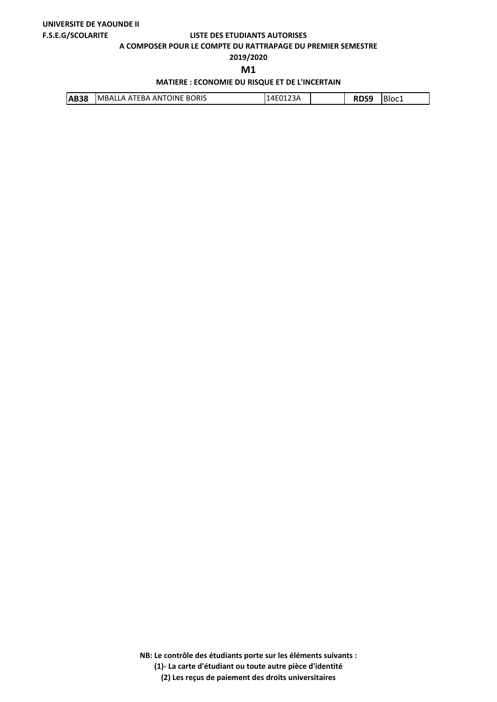**A COMPOSER POUR LE COMPTE DU RATTRAPAGE DU PREMIER SEMESTRE**

# **2019/2020**

**M1** 

## **MATIERE : ECONOMIE DU RISQUE ET DE L'INCERTAIN**

| <b>IMBALLA ATEBA ANTOINE BORIS</b><br><b>IAB38</b> |  |  | Bloc1 |
|----------------------------------------------------|--|--|-------|
|----------------------------------------------------|--|--|-------|

**NB: Le contrôle des étudiants porte sur les éléments suivants :**

**(1)- La carte d'étudiant ou toute autre pièce d'identité**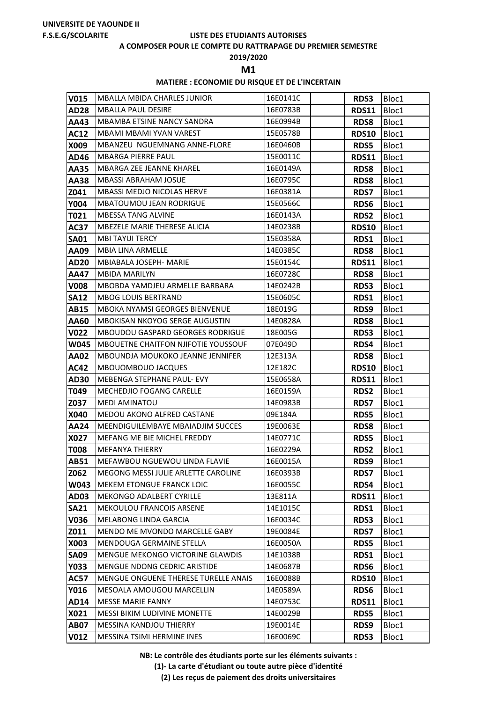#### **A COMPOSER POUR LE COMPTE DU RATTRAPAGE DU PREMIER SEMESTRE**

**2019/2020**

**M1** 

## **MATIERE : ECONOMIE DU RISQUE ET DE L'INCERTAIN**

| <b>V015</b>                | <b>MBALLA MBIDA CHARLES JUNIOR</b>                      | 16E0141C             | <b>RDS3</b>         | Bloc1          |
|----------------------------|---------------------------------------------------------|----------------------|---------------------|----------------|
| <b>AD28</b>                | <b>MBALLA PAUL DESIRE</b>                               | 16E0783B             | <b>RDS11</b>        | Bloc1          |
| AA43                       | MBAMBA ETSINE NANCY SANDRA                              | 16E0994B             | <b>RDS8</b>         | Bloc1          |
| <b>AC12</b>                | MBAMI MBAMI YVAN VAREST                                 | 15E0578B             | <b>RDS10</b>        | Bloc1          |
| X009                       | MBANZEU NGUEMNANG ANNE-FLORE                            | 16E0460B             | RDS5                | Bloc1          |
| AD46                       | <b>MBARGA PIERRE PAUL</b>                               | 15E0011C             | <b>RDS11</b>        | Bloc1          |
| <b>AA35</b>                | MBARGA ZEE JEANNE KHAREL                                | 16E0149A             | <b>RDS8</b>         | Bloc1          |
| <b>AA38</b>                | <b>MBASSI ABRAHAM JOSUE</b>                             | 16E0795C             | <b>RDS8</b>         | Bloc1          |
| Z041                       | <b>MBASSI MEDJO NICOLAS HERVE</b>                       | 16E0381A             | <b>RDS7</b>         | Bloc1          |
| <b>Y004</b>                | <b>MBATOUMOU JEAN RODRIGUE</b>                          | 15E0566C             | RDS6                | Bloc1          |
| T021                       | <b>MBESSA TANG ALVINE</b>                               | 16E0143A             | <b>RDS2</b>         | Bloc1          |
| <b>AC37</b>                | MBEZELE MARIE THERESE ALICIA                            | 14E0238B             | <b>RDS10</b>        | Bloc1          |
| <b>SA01</b>                | <b>MBI TAYUI TERCY</b>                                  | 15E0358A             | RDS1                | Bloc1          |
| AA09                       | <b>MBIA LINA ARMELLE</b>                                | 14E0385C             | <b>RDS8</b>         | Bloc1          |
| <b>AD20</b>                | MBIABALA JOSEPH- MARIE                                  | 15E0154C             | <b>RDS11</b>        | Bloc1          |
| AA47                       | <b>MBIDA MARILYN</b>                                    | 16E0728C             | <b>RDS8</b>         | Bloc1          |
| <b>V008</b>                | MBOBDA YAMDJEU ARMELLE BARBARA                          | 14E0242B             | <b>RDS3</b>         | Bloc1          |
| <b>SA12</b>                | <b>MBOG LOUIS BERTRAND</b>                              | 15E0605C             | RDS1                | Bloc1          |
| <b>AB15</b>                | <b>MBOKA NYAMSI GEORGES BIENVENUE</b>                   | 18E019G              | RDS9                | Bloc1          |
| AA60                       | MBOKISAN NKOYOG SERGE AUGUSTIN                          | 14E0828A             | <b>RDS8</b>         | Bloc1          |
| V022                       | <b>MBOUDOU GASPARD GEORGES RODRIGUE</b>                 | 18E005G              | <b>RDS3</b>         | Bloc1          |
| W045                       | <b>MBOUETNE CHAITFON NJIFOTIE YOUSSOUF</b>              | 07E049D              | RDS4                | Bloc1          |
| <b>AA02</b>                | MBOUNDJA MOUKOKO JEANNE JENNIFER                        | 12E313A              | <b>RDS8</b>         | Bloc1          |
| <b>AC42</b>                | <b>MBOUOMBOUO JACQUES</b>                               | 12E182C              | <b>RDS10</b>        | Bloc1          |
| <b>AD30</b>                | MEBENGA STEPHANE PAUL- EVY                              | 15E0658A             | <b>RDS11</b>        | Bloc1          |
| T049                       | <b>MECHEDJIO FOGANG CARELLE</b>                         | 16E0159A             | <b>RDS2</b>         | Bloc1          |
| Z037                       | <b>MEDI AMINATOU</b>                                    | 14E0983B             | <b>RDS7</b>         | Bloc1          |
| X040                       | MEDOU AKONO ALFRED CASTANE                              | 09E184A              | <b>RDS5</b>         | Bloc1          |
| <b>AA24</b>                | MEENDIGUILEMBAYE MBAIADJIM SUCCES                       | 19E0063E             | <b>RDS8</b>         | Bloc1          |
| X027                       | MEFANG ME BIE MICHEL FREDDY                             | 14E0771C             | <b>RDS5</b>         | Bloc1          |
| <b>T008</b><br><b>AB51</b> | <b>MEFANYA THIERRY</b><br>MEFAWBOU NGUEWOU LINDA FLAVIE | 16E0229A<br>16E0015A | <b>RDS2</b>         | Bloc1          |
| Z062                       | MEGONG MESSI JULIE ARLETTE CAROLINE                     | 16E0393B             | RDS9<br><b>RDS7</b> | Bloc1          |
| W043                       | <b>MEKEM ETONGUE FRANCK LOIC</b>                        | 16E0055C             | RDS4                | Bloc1<br>Bloc1 |
| <b>AD03</b>                | MEKONGO ADALBERT CYRILLE                                | 13E811A              | <b>RDS11</b>        | Bloc1          |
| <b>SA21</b>                | MEKOULOU FRANCOIS ARSENE                                | 14E1015C             | RDS1                | Bloc1          |
| V036                       | MELABONG LINDA GARCIA                                   | 16E0034C             | RDS3                | Bloc1          |
| Z011                       | MENDO ME MVONDO MARCELLE GABY                           | 19E0084E             | <b>RDS7</b>         | Bloc1          |
| X003                       | <b>MENDOUGA GERMAINE STELLA</b>                         | 16E0050A             | <b>RDS5</b>         | Bloc1          |
| <b>SA09</b>                | MENGUE MEKONGO VICTORINE GLAWDIS                        | 14E1038B             | RDS1                | Bloc1          |
| <b>Y033</b>                | MENGUE NDONG CEDRIC ARISTIDE                            | 14E0687B             | RDS6                | Bloc1          |
| <b>AC57</b>                | MENGUE ONGUENE THERESE TURELLE ANAIS                    | 16E0088B             | <b>RDS10</b>        | Bloc1          |
| Y016                       | MESOALA AMOUGOU MARCELLIN                               | 14E0589A             | RDS6                | Bloc1          |
| <b>AD14</b>                | <b>MESSE MARIE FANNY</b>                                | 14E0753C             | <b>RDS11</b>        | Bloc1          |
| X021                       | <b>MESSI BIKIM LUDIVINE MONETTE</b>                     | 14E0029B             | <b>RDS5</b>         | Bloc1          |
| <b>AB07</b>                | MESSINA KANDJOU THIERRY                                 | 19E0014E             | RDS9                | Bloc1          |
| <b>V012</b>                | MESSINA TSIMI HERMINE INES                              | 16E0069C             | <b>RDS3</b>         | Bloc1          |

**NB: Le contrôle des étudiants porte sur les éléments suivants :**

**(1)- La carte d'étudiant ou toute autre pièce d'identité**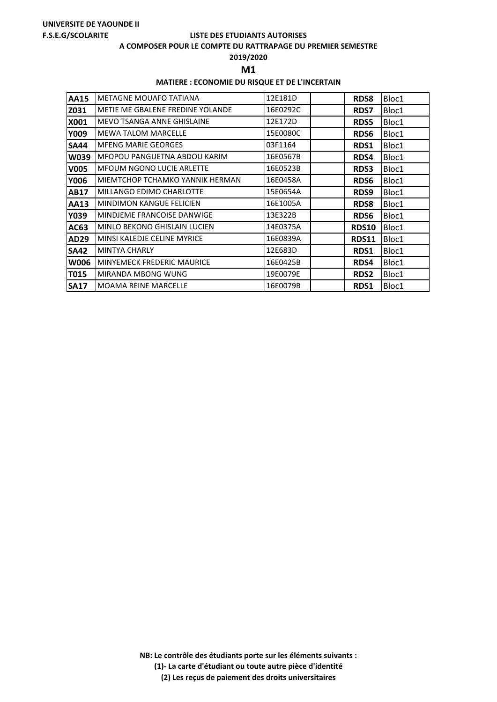#### **A COMPOSER POUR LE COMPTE DU RATTRAPAGE DU PREMIER SEMESTRE**

**2019/2020**

**M1** 

## **MATIERE : ECONOMIE DU RISQUE ET DE L'INCERTAIN**

| <b>AA15</b> | <b>METAGNE MOUAFO TATIANA</b>           | 12E181D  | <b>RDS8</b>      | Bloc1 |
|-------------|-----------------------------------------|----------|------------------|-------|
| Z031        | <b>METIE ME GBALENE FREDINE YOLANDE</b> | 16E0292C | <b>RDS7</b>      | Bloc1 |
| X001        | IMEVO TSANGA ANNE GHISLAINE             | 12E172D  | <b>RDS5</b>      | Bloc1 |
| Y009        | <b>MEWA TALOM MARCELLE</b>              | 15E0080C | <b>RDS6</b>      | Bloc1 |
| <b>SA44</b> | <b>MFENG MARIE GEORGES</b>              | 03F1164  | RDS1             | Bloc1 |
| <b>W039</b> | MFOPOU PANGUETNA ABDOU KARIM            | 16E0567B | RDS4             | Bloc1 |
| <b>V005</b> | <b>MFOUM NGONO LUCIE ARLETTE</b>        | 16E0523B | <b>RDS3</b>      | Bloc1 |
| <b>Y006</b> | <b>MIEMTCHOP TCHAMKO YANNIK HERMAN</b>  | 16E0458A | <b>RDS6</b>      | Bloc1 |
| <b>AB17</b> | MILLANGO EDIMO CHARLOTTE                | 15E0654A | RDS <sub>9</sub> | Bloc1 |
| <b>AA13</b> | <b>MINDIMON KANGUE FELICIEN</b>         | 16E1005A | <b>RDS8</b>      | Bloc1 |
| Y039        | <b>MINDJEME FRANCOISE DANWIGE</b>       | 13E322B  | RDS <sub>6</sub> | Bloc1 |
| AC63        | <b>MINLO BEKONO GHISLAIN LUCIEN</b>     | 14E0375A | <b>RDS10</b>     | Bloc1 |
| AD29        | MINSI KALEDJE CELINE MYRICE             | 16E0839A | <b>RDS11</b>     | Bloc1 |
| <b>SA42</b> | <b>MINTYA CHARLY</b>                    | 12E683D  | RDS1             | Bloc1 |
| <b>W006</b> | <b>MINYEMECK FREDERIC MAURICE</b>       | 16E0425B | RDS4             | Bloc1 |
| <b>T015</b> | <b>MIRANDA MBONG WUNG</b>               | 19E0079E | <b>RDS2</b>      | Bloc1 |
| <b>SA17</b> | <b>MOAMA REINE MARCELLE</b>             | 16E0079B | RDS1             | Bloc1 |

**NB: Le contrôle des étudiants porte sur les éléments suivants : (1)- La carte d'étudiant ou toute autre pièce d'identité**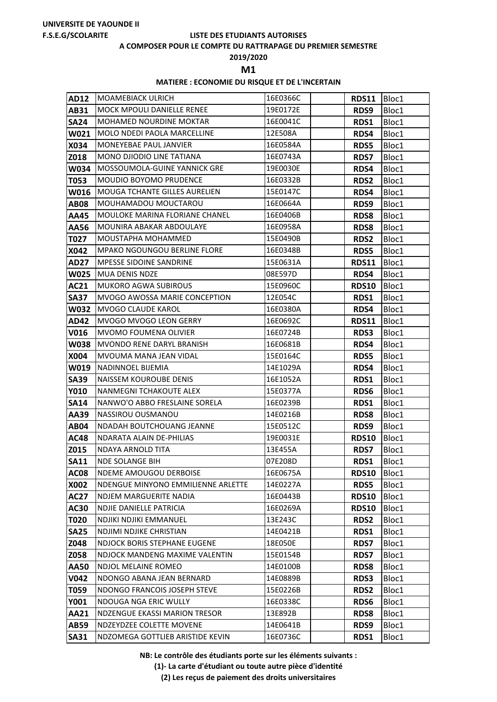#### **A COMPOSER POUR LE COMPTE DU RATTRAPAGE DU PREMIER SEMESTRE**

**2019/2020**

**M1** 

## **MATIERE : ECONOMIE DU RISQUE ET DE L'INCERTAIN**

| <b>AD12</b>  | IMOAMEBIACK ULRICH                                           | 16E0366C             | RDS11                | Bloc1          |
|--------------|--------------------------------------------------------------|----------------------|----------------------|----------------|
| AB31         | <b>MOCK MPOULI DANIELLE RENEE</b>                            | 19E0172E             | RDS9                 | Bloc1          |
| <b>SA24</b>  | <b>MOHAMED NOURDINE MOKTAR</b>                               | 16E0041C             | RDS1                 | Bloc1          |
| W021         | MOLO NDEDI PAOLA MARCELLINE                                  | 12E508A              | RDS4                 | Bloc1          |
| X034         | MONEYEBAE PAUL JANVIER                                       | 16E0584A             | <b>RDS5</b>          | Bloc1          |
| Z018         | MONO DJIODIO LINE TATIANA                                    | 16E0743A             | <b>RDS7</b>          | Bloc1          |
| <b>W034</b>  | MOSSOUMOLA-GUINE YANNICK GRE                                 | 19E0030E             | RDS4                 | Bloc1          |
| T053         | <b>MOUDIO BOYOMO PRUDENCE</b>                                | 16E0332B             | <b>RDS2</b>          | Bloc1          |
| <b>W016</b>  | <b>MOUGA TCHANTE GILLES AURELIEN</b>                         | 15E0147C             | RDS4                 | Bloc1          |
| <b>AB08</b>  | MOUHAMADOU MOUCTAROU                                         | 16E0664A             | RDS9                 | Bloc1          |
| AA45         | MOULOKE MARINA FLORIANE CHANEL                               | 16E0406B             | <b>RDS8</b>          | Bloc1          |
| AA56         | MOUNIRA ABAKAR ABDOULAYE                                     | 16E0958A             | <b>RDS8</b>          | Bloc1          |
| T027         | MOUSTAPHA MOHAMMED                                           | 15E0490B             | <b>RDS2</b>          | Bloc1          |
| X042         | <b>MPAKO NGOUNGOU BERLINE FLORE</b>                          | 16E0348B             | <b>RDS5</b>          | Bloc1          |
| <b>AD27</b>  | <b>MPESSE SIDOINE SANDRINE</b>                               | 15E0631A             | <b>RDS11</b>         | Bloc1          |
| <b>W025</b>  | MUA DENIS NDZE                                               | 08E597D              | RDS4                 | Bloc1          |
| <b>AC21</b>  | <b>MUKORO AGWA SUBIROUS</b>                                  | 15E0960C             | <b>RDS10</b>         | Bloc1          |
| <b>SA37</b>  | <b>MVOGO AWOSSA MARIE CONCEPTION</b>                         | 12E054C              | RDS1                 | Bloc1          |
| <b>W032</b>  | MVOGO CLAUDE KAROL                                           | 16E0380A             | RDS4                 | Bloc1          |
| <b>AD42</b>  | MVOGO MVOGO LEON GERRY                                       | 16E0692C             | <b>RDS11</b>         | Bloc1          |
| <b>V016</b>  | <b>MVOMO FOUMENA OLIVIER</b>                                 | 16E0724B             | <b>RDS3</b>          | Bloc1          |
| <b>W038</b>  | MVONDO RENE DARYL BRANISH                                    | 16E0681B             | RDS4                 | Bloc1          |
| X004         | MVOUMA MANA JEAN VIDAL                                       | 15E0164C             | <b>RDS5</b>          | Bloc1          |
| W019         | <b>NADINNOEL BIJEMIA</b>                                     | 14E1029A             | RDS4                 | Bloc1          |
| <b>SA39</b>  | NAISSEM KOUROUBE DENIS                                       | 16E1052A             | RDS1                 | Bloc1          |
| <b>Y010</b>  | NANMEGNI TCHAKOUTE ALEX                                      | 15E0377A             | RDS6                 | Bloc1          |
| <b>SA14</b>  | NANWO'O ABBO FRESLAINE SORELA                                | 16E0239B             | RDS1                 | Bloc1          |
| AA39         | NASSIROU OUSMANOU                                            | 14E0216B             | <b>RDS8</b>          | Bloc1          |
| <b>AB04</b>  | NDADAH BOUTCHOUANG JEANNE                                    | 15E0512C             | RDS9                 | Bloc1          |
| <b>AC48</b>  | NDARATA ALAIN DE-PHILIAS                                     | 19E0031E             | <b>RDS10</b>         | Bloc1          |
| Z015         | <b>NDAYA ARNOLD TITA</b>                                     | 13E455A              | <b>RDS7</b>          | Bloc1          |
| <b>SA11</b>  | <b>NDE SOLANGE BIH</b>                                       | 07E208D              | RDS1                 | Bloc1          |
| <b>AC08</b>  | NDEME AMOUGOU DERBOISE                                       | 16E0675A             | <b>RDS10</b>         | Bloc1          |
| X002         | NDENGUE MINYONO EMMILIENNE ARLETTE<br>NDJEM MARGUERITE NADIA | 14E0227A             | RDS5                 | Bloc1          |
| <b>AC27</b>  | <b>NDJIE DANIELLE PATRICIA</b>                               | 16E0443B<br>16E0269A | <b>RDS10</b>         | Bloc1          |
| AC30<br>T020 | <b>NDJIKI NDJIKI EMMANUEL</b>                                | 13E243C              | <b>RDS10</b><br>RDS2 | Bloc1          |
| <b>SA25</b>  | NDJIMI NDJIKE CHRISTIAN                                      | 14E0421B             | RDS1                 | Bloc1<br>Bloc1 |
| Z048         | <b>NDJOCK BORIS STEPHANE EUGENE</b>                          | 18E050E              | <b>RDS7</b>          | Bloc1          |
| Z058         | NDJOCK MANDENG MAXIME VALENTIN                               | 15E0154B             | <b>RDS7</b>          | Bloc1          |
| <b>AA50</b>  | NDJOL MELAINE ROMEO                                          | 14E0100B             | <b>RDS8</b>          | Bloc1          |
| V042         | NDONGO ABANA JEAN BERNARD                                    | 14E0889B             | <b>RDS3</b>          | Bloc1          |
| T059         | NDONGO FRANCOIS JOSEPH STEVE                                 | 15E0226B             | <b>RDS2</b>          | Bloc1          |
| <b>Y001</b>  | NDOUGA NGA ERIC WULLY                                        | 16E0338C             | RDS6                 | Bloc1          |
| <b>AA21</b>  | NDZENGUE EKASSI MARION TRESOR                                | 13E892B              | <b>RDS8</b>          | Bloc1          |
| <b>AB59</b>  | NDZEYDZEE COLETTE MOVENE                                     | 14E0641B             | RDS9                 | Bloc1          |
| <b>SA31</b>  | NDZOMEGA GOTTLIEB ARISTIDE KEVIN                             | 16E0736C             | RDS1                 | Bloc1          |
|              |                                                              |                      |                      |                |

**NB: Le contrôle des étudiants porte sur les éléments suivants :**

**(1)- La carte d'étudiant ou toute autre pièce d'identité**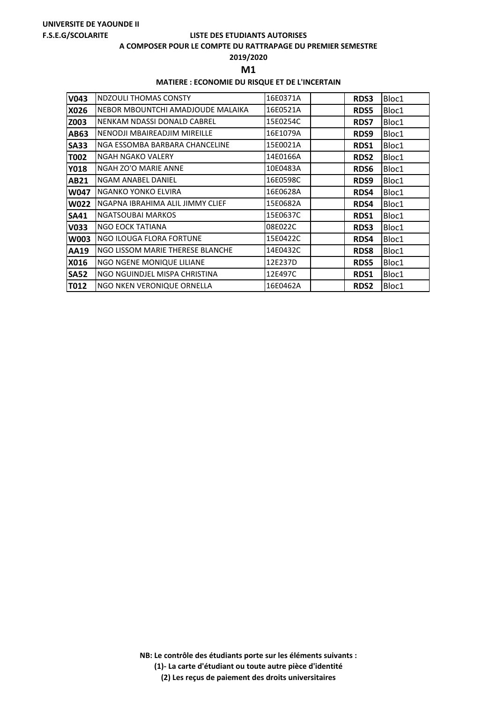#### **A COMPOSER POUR LE COMPTE DU RATTRAPAGE DU PREMIER SEMESTRE**

**2019/2020**

**M1** 

## **MATIERE : ECONOMIE DU RISQUE ET DE L'INCERTAIN**

| V043        | NDZOULI THOMAS CONSTY             | 16E0371A | RDS3             | Bloc1 |
|-------------|-----------------------------------|----------|------------------|-------|
| X026        | NEBOR MBOUNTCHI AMADJOUDE MALAIKA | 16E0521A | <b>RDS5</b>      | Bloc1 |
| Z003        | NENKAM NDASSI DONALD CABREL       | 15E0254C | <b>RDS7</b>      | Bloc1 |
| <b>AB63</b> | NENODJI MBAIREADJIM MIREILLE      | 16E1079A | RDS9             | Bloc1 |
| <b>SA33</b> | NGA ESSOMBA BARBARA CHANCELINE    | 15E0021A | RDS1             | Bloc1 |
| T002        | NGAH NGAKO VALERY                 | 14E0166A | <b>RDS2</b>      | Bloc1 |
| <b>Y018</b> | NGAH ZO'O MARIE ANNE              | 10E0483A | RDS <sub>6</sub> | Bloc1 |
| <b>AB21</b> | NGAM ANABEL DANIEL                | 16E0598C | RDS <sub>9</sub> | Bloc1 |
| W047        | NGANKO YONKO ELVIRA               | 16E0628A | RDS4             | Bloc1 |
| <b>W022</b> | NGAPNA IBRAHIMA ALIL JIMMY CLIEF  | 15E0682A | RDS4             | Bloc1 |
| <b>SA41</b> | <b>NGATSOUBAI MARKOS</b>          | 15E0637C | RDS1             | Bloc1 |
| <b>V033</b> | <b>NGO EOCK TATIANA</b>           | 08E022C  | RDS3             | Bloc1 |
| <b>W003</b> | NGO ILOUGA FLORA FORTUNE          | 15E0422C | RDS4             | Bloc1 |
| <b>AA19</b> | NGO LISSOM MARIE THERESE BLANCHE  | 14E0432C | <b>RDS8</b>      | Bloc1 |
| X016        | NGO NGENE MONIQUE LILIANE         | 12E237D  | <b>RDS5</b>      | Bloc1 |
| <b>SA52</b> | NGO NGUINDJEL MISPA CHRISTINA     | 12E497C  | RDS1             | Bloc1 |
| T012        | NGO NKEN VERONIQUE ORNELLA        | 16E0462A | <b>RDS2</b>      | Bloc1 |

**NB: Le contrôle des étudiants porte sur les éléments suivants : (1)- La carte d'étudiant ou toute autre pièce d'identité**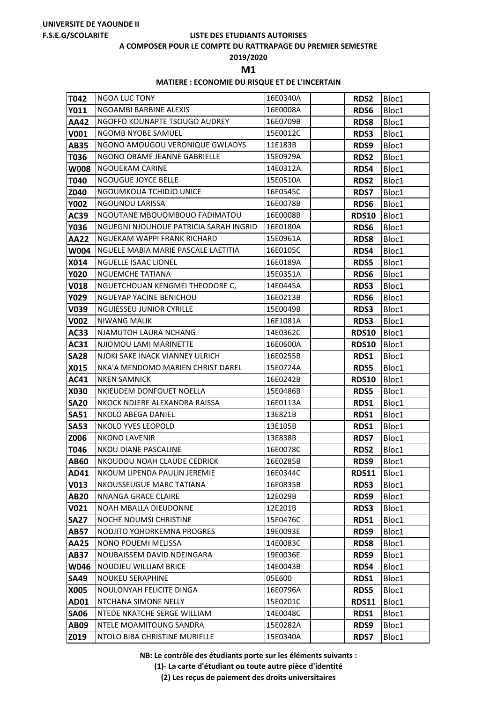#### **A COMPOSER POUR LE COMPTE DU RATTRAPAGE DU PREMIER SEMESTRE**

**2019/2020**

**M1** 

## **MATIERE : ECONOMIE DU RISQUE ET DE L'INCERTAIN**

| T042                       | <b>NGOA LUC TONY</b>                                | 16E0340A            | <b>RDS2</b>  | Bloc1          |
|----------------------------|-----------------------------------------------------|---------------------|--------------|----------------|
| Y011                       | <b>NGOAMBI BARBINE ALEXIS</b>                       | 16E0008A            | RDS6         | Bloc1          |
| <b>AA42</b>                | NGOFFO KOUNAPTE TSOUGO AUDREY                       | 16E0709B            | <b>RDS8</b>  | Bloc1          |
| V001                       | NGOMB NYOBE SAMUEL                                  | 15E0012C            | <b>RDS3</b>  | Bloc1          |
| <b>AB35</b>                | NGONO AMOUGOU VERONIQUE GWLADYS                     | 11E183B             | RDS9         | Bloc1          |
| T036                       | NGONO OBAME JEANNE GABRIELLE                        | 15E0929A            | <b>RDS2</b>  | Bloc1          |
| <b>W008</b>                | <b>NGOUEKAM CARINE</b>                              | 14E0312A            | RDS4         | Bloc1          |
| T040                       | NGOUGUE JOYCE BELLE                                 | 15E0510A            | <b>RDS2</b>  | Bloc1          |
| Z040                       | NGOUMKOUA TCHIDJO UNICE                             | 16E0545C            | <b>RDS7</b>  | Bloc1          |
| <b>Y002</b>                | <b>NGOUNOU LARISSA</b>                              | 16E0078B            | <b>RDS6</b>  | Bloc1          |
| <b>AC39</b>                | NGOUTANE MBOUOMBOUO FADIMATOU                       | 16E0008B            | <b>RDS10</b> | Bloc1          |
| Y036                       | NGUEGNI NJOUHOUE PATRICIA SARAH INGRID              | 16E0180A            | RDS6         | Bloc1          |
| <b>AA22</b>                | NGUEKAM WAPPI FRANK RICHARD                         | 15E0961A            | <b>RDS8</b>  | Bloc1          |
| <b>W004</b>                | NGUELE MABIA MARIE PASCALE LAETITIA                 | 16E0105C            | RDS4         | Bloc1          |
| X014                       | <b>NGUELLE ISAAC LIONEL</b>                         | 16E0189A            | <b>RDS5</b>  | Bloc1          |
| <b>Y020</b>                | <b>NGUEMCHE TATIANA</b>                             | 15E0351A            | <b>RDS6</b>  | Bloc1          |
| <b>V018</b>                | NGUETCHOUAN KENGMEI THEODORE C,                     | 14E0445A            | RDS3         | Bloc1          |
| Y029                       | <b>NGUEYAP YACINE BENICHOU</b>                      | 16E0213B            | <b>RDS6</b>  | Bloc1          |
| V039                       | <b>NGUIESSEU JUNIOR CYRILLE</b>                     | 15E0049B            | <b>RDS3</b>  | Bloc1          |
| <b>V002</b>                | <b>NIWANG MALIK</b>                                 | 16E1081A            | RDS3         | Bloc1          |
| <b>AC33</b>                | NJAMUTOH LAURA NCHANG                               | 14E0362C            | <b>RDS10</b> | Bloc1          |
| AC31                       | NJIOMOU LAMI MARINETTE                              | 16E0600A            | <b>RDS10</b> | Bloc1          |
| <b>SA28</b>                | NJOKI SAKE INACK VIANNEY ULRICH                     | 16E0255B            | RDS1         | Bloc1          |
| X015                       | NKA'A MENDOMO MARIEN CHRIST DAREL                   | 15E0724A            | <b>RDS5</b>  | Bloc1          |
| <b>AC41</b>                | <b>NKEN SAMNICK</b>                                 | 16E0242B            | <b>RDS10</b> | Bloc1          |
| X030                       | NKIEUDEM DONFOUET NOELLA                            | 15E0486B            | <b>RDS5</b>  | Bloc1          |
| <b>SA20</b><br><b>SA51</b> | NKOCK NDJERE ALEXANDRA RAISSA<br>NKOLO ABEGA DANIEL | 16E0113A<br>13E821B | RDS1         | Bloc1          |
| <b>SA53</b>                | NKOLO YVES LEOPOLD                                  | 13E105B             | RDS1<br>RDS1 | Bloc1<br>Bloc1 |
| Z006                       | <b>NKONO LAVENIR</b>                                | 13E838B             | <b>RDS7</b>  | Bloc1          |
| T046                       | NKOU DIANE PASCALINE                                | 16E0078C            | <b>RDS2</b>  | Bloc1          |
| <b>AB60</b>                | NKOUDOU NOAH CLAUDE CEDRICK                         | 16E0285B            | RDS9         | Bloc1          |
| AD41                       | NKOUM LIPENDA PAULIN JEREMIE                        | 16E0344C            | <b>RDS11</b> | Bloc1          |
| V013                       | NKOUSSEUGUE MARC TATIANA                            | 16E0835B            | RDS3         | Bloc1          |
| <b>AB20</b>                | NNANGA GRACE CLAIRE                                 | 12E029B             | RDS9         | Bloc1          |
| V021                       | NOAH MBALLA DIEUDONNE                               | 12E201B             | RDS3         | Bloc1          |
| <b>SA27</b>                | <b>NOCHE NOUMSI CHRISTINE</b>                       | 15E0476C            | RDS1         | Bloc1          |
| <b>AB57</b>                | NODJITO YOHDRKEMNA PROGRES                          | 19E0093E            | RDS9         | Bloc1          |
| <b>AA25</b>                | NONO POUEMI MELISSA                                 | 14E0083C            | <b>RDS8</b>  | Bloc1          |
| <b>AB37</b>                | NOUBAISSEM DAVID NDEINGARA                          | 19E0036E            | RDS9         | Bloc1          |
| <b>W046</b>                | NOUDJEU WILLIAM BRICE                               | 14E0043B            | RDS4         | Bloc1          |
| <b>SA49</b>                | <b>NOUKEU SERAPHINE</b>                             | 05E600              | RDS1         | Bloc1          |
| X005                       | NOULONYAH FELICITE DINGA                            | 16E0796A            | RDS5         | Bloc1          |
| <b>AD01</b>                | NTCHANA SIMONE NELLY                                | 15E0201C            | <b>RDS11</b> | Bloc1          |
| <b>SA06</b>                | NTEDE NKATCHE SERGE WILLIAM                         | 14E0048C            | RDS1         | Bloc1          |
| <b>AB09</b>                | NTELE MOAMITOUNG SANDRA                             | 15E0282A            | RDS9         | Bloc1          |
| Z019                       | NTOLO BIBA CHRISTINE MURIELLE                       | 15E0340A            | <b>RDS7</b>  | Bloc1          |

**NB: Le contrôle des étudiants porte sur les éléments suivants :**

**(1)- La carte d'étudiant ou toute autre pièce d'identité**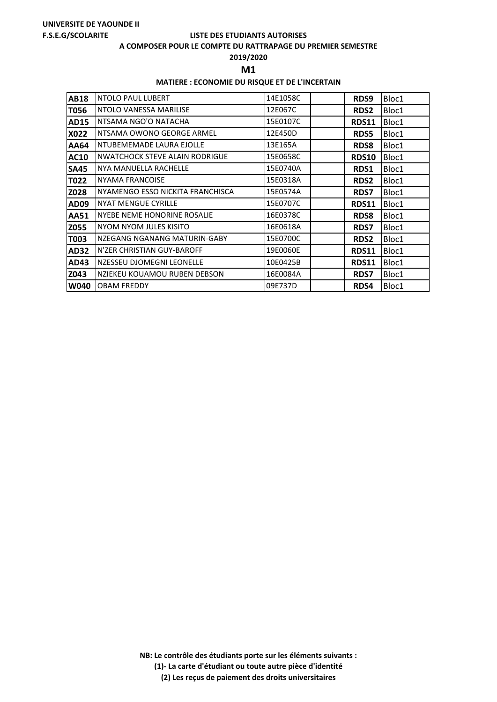#### **A COMPOSER POUR LE COMPTE DU RATTRAPAGE DU PREMIER SEMESTRE**

**2019/2020**

**M1** 

## **MATIERE : ECONOMIE DU RISQUE ET DE L'INCERTAIN**

| <b>AB18</b> | NTOLO PAUL LUBERT                     | 14E1058C | RDS9         | Bloc1 |
|-------------|---------------------------------------|----------|--------------|-------|
| T056        | NTOLO VANESSA MARILISE                | 12E067C  | <b>RDS2</b>  | Bloc1 |
| <b>AD15</b> | NTSAMA NGO'O NATACHA                  | 15E0107C | <b>RDS11</b> | Bloc1 |
| X022        | NTSAMA OWONO GEORGE ARMEL             | 12E450D  | <b>RDS5</b>  | Bloc1 |
| AA64        | NTUBEMEMADE LAURA EJOLLE              | 13E165A  | <b>RDS8</b>  | Bloc1 |
| <b>AC10</b> | <b>NWATCHOCK STEVE ALAIN RODRIGUE</b> | 15E0658C | <b>RDS10</b> | Bloc1 |
| <b>SA45</b> | NYA MANUELLA RACHELLE                 | 15E0740A | RDS1         | Bloc1 |
| T022        | NYAMA FRANCOISE                       | 15E0318A | <b>RDS2</b>  | Bloc1 |
| Z028        | NYAMENGO ESSO NICKITA FRANCHISCA      | 15E0574A | <b>RDS7</b>  | Bloc1 |
| AD09        | <b>NYAT MENGUE CYRILLE</b>            | 15E0707C | <b>RDS11</b> | Bloc1 |
| <b>AA51</b> | NYEBE NEME HONORINE ROSALIE           | 16E0378C | <b>RDS8</b>  | Bloc1 |
| Z055        | NYOM NYOM JULES KISITO                | 16E0618A | <b>RDS7</b>  | Bloc1 |
| T003        | NZEGANG NGANANG MATURIN-GABY          | 15E0700C | <b>RDS2</b>  | Bloc1 |
| <b>AD32</b> | N'ZER CHRISTIAN GUY-BAROFF            | 19E0060E | <b>RDS11</b> | Bloc1 |
| AD43        | NZESSEU DJOMEGNI LEONELLE             | 10E0425B | <b>RDS11</b> | Bloc1 |
| Z043        | NZIEKEU KOUAMOU RUBEN DEBSON          | 16E0084A | <b>RDS7</b>  | Bloc1 |
| W040        | <b>OBAM FREDDY</b>                    | 09E737D  | <b>RDS4</b>  | Bloc1 |

**NB: Le contrôle des étudiants porte sur les éléments suivants : (1)- La carte d'étudiant ou toute autre pièce d'identité**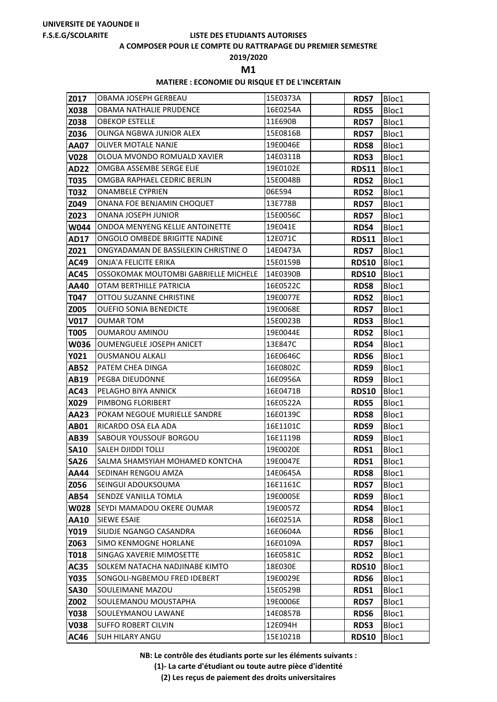#### **A COMPOSER POUR LE COMPTE DU RATTRAPAGE DU PREMIER SEMESTRE**

**2019/2020**

**M1** 

## **MATIERE : ECONOMIE DU RISQUE ET DE L'INCERTAIN**

| Z017                       | OBAMA JOSEPH GERBEAU                          | 15E0373A             | <b>RDS7</b>  | Bloc1          |
|----------------------------|-----------------------------------------------|----------------------|--------------|----------------|
| X038                       | OBAMA NATHALIE PRUDENCE                       | 16E0254A             | RDS5         | Bloc1          |
| Z038                       | <b>OBEKOP ESTELLE</b>                         | 11E690B              | <b>RDS7</b>  | Bloc1          |
| Z036                       | OLINGA NGBWA JUNIOR ALEX                      | 15E0816B             | <b>RDS7</b>  | Bloc1          |
| <b>AA07</b>                | OLIVER MOTALE NANJE                           | 19E0046E             | <b>RDS8</b>  | Bloc1          |
| <b>V028</b>                | OLOUA MVONDO ROMUALD XAVIER                   | 14E0311B             | <b>RDS3</b>  | Bloc1          |
| <b>AD22</b>                | OMGBA ASSEMBE SERGE ELIE                      | 19E0102E             | <b>RDS11</b> | Bloc1          |
| <b>T035</b>                | OMGBA RAPHAEL CEDRIC BERLIN                   | 15E0048B             | RDS2         | Bloc1          |
| T032                       | <b>ONAMBELE CYPRIEN</b>                       | 06E594               | <b>RDS2</b>  | Bloc1          |
| Z049                       | ONANA FOE BENJAMIN CHOQUET                    | 13E778B              | <b>RDS7</b>  | Bloc1          |
| Z023                       | ONANA JOSEPH JUNIOR                           | 15E0056C             | <b>RDS7</b>  | Bloc1          |
| <b>W044</b>                | ONDOA MENYENG KELLIE ANTOINETTE               | 19E041E              | RDS4         | Bloc1          |
| <b>AD17</b>                | ONGOLO OMBEDE BRIGITTE NADINE                 | 12E071C              | <b>RDS11</b> | Bloc1          |
| Z021                       | ONGYADAMAN DE BASSILEKIN CHRISTINE O          | 14E0473A             | <b>RDS7</b>  | Bloc1          |
| <b>AC49</b>                | ONJA'A FELICITE ERIKA                         | 15E0159B             | <b>RDS10</b> | Bloc1          |
| <b>AC45</b>                | OSSOKOMAK MOUTOMBI GABRIELLE MICHELE          | 14E0390B             | <b>RDS10</b> | Bloc1          |
| <b>AA40</b>                | OTAM BERTHILLE PATRICIA                       | 16E0522C             | <b>RDS8</b>  | Bloc1          |
| T047                       | OTTOU SUZANNE CHRISTINE                       | 19E0077E             | <b>RDS2</b>  | Bloc1          |
| Z005                       | <b>OUEFIO SONIA BENEDICTE</b>                 | 19E0068E             | <b>RDS7</b>  | Bloc1          |
| V <sub>017</sub>           | <b>OUMAR TOM</b>                              | 15E0023B             | RDS3         | Bloc1          |
| T005                       | <b>OUMAROU AMINOU</b>                         | 19E0044E             | RDS2         | Bloc1          |
| <b>W036</b>                | <b>OUMENGUELE JOSEPH ANICET</b>               | 13E847C              | RDS4         | Bloc1          |
| Y021                       | <b>OUSMANOU ALKALI</b>                        | 16E0646C             | RDS6         | Bloc1          |
| <b>AB52</b>                | PATEM CHEA DINGA                              | 16E0802C             | RDS9         | Bloc1          |
| <b>AB19</b>                | PEGBA DIEUDONNE                               | 16E0956A             | RDS9         | Bloc1          |
| <b>AC43</b>                | PELAGHO BIYA ANNICK                           | 16E0471B             | <b>RDS10</b> | Bloc1          |
| X029                       | PIMBONG FLORIBERT                             | 16E0522A             | <b>RDS5</b>  | Bloc1          |
| <b>AA23</b>                | POKAM NEGOUE MURIELLE SANDRE                  | 16E0139C             | <b>RDS8</b>  | Bloc1          |
| <b>AB01</b><br><b>AB39</b> | RICARDO OSA ELA ADA<br>SABOUR YOUSSOUF BORGOU | 16E1101C<br>16E1119B | RDS9         | Bloc1<br>Bloc1 |
| <b>SA10</b>                | <b>SALEH DJIDDI TOLLI</b>                     | 19E0020E             | RDS9<br>RDS1 | Bloc1          |
| <b>SA26</b>                | SALMA SHAMSYIAH MOHAMED KONTCHA               | 19E0047E             | <b>RDS1</b>  | Bloc1          |
| <b>AA44</b>                | SEDINAH RENGOU AMZA                           | 14E0645A             | <b>RDS8</b>  | Bloc1          |
| Z056                       | SEINGUI ADOUKSOUMA                            | 16E1161C             | RDS7         | Bloc1          |
| <b>AB54</b>                | SENDZE VANILLA TOMLA                          | 19E0005E             | RDS9         | Bloc1          |
| <b>W028</b>                | SEYDI MAMADOU OKERE OUMAR                     | 19E0057Z             | RDS4         | Bloc1          |
| <b>AA10</b>                | <b>SIEWE ESAIE</b>                            | 16E0251A             | <b>RDS8</b>  | Bloc1          |
| Y019                       | SILIDJE NGANGO CASANDRA                       | 16E0604A             | RDS6         | Bloc1          |
| Z063                       | SIMO KENMOGNE HORLANE                         | 16E0109A             | <b>RDS7</b>  | Bloc1          |
| <b>T018</b>                | SINGAG XAVERIE MIMOSETTE                      | 16E0581C             | <b>RDS2</b>  | Bloc1          |
| <b>AC35</b>                | SOLKEM NATACHA NADJINABE KIMTO                | 18E030E              | <b>RDS10</b> | Bloc1          |
| <b>Y035</b>                | SONGOLI-NGBEMOU FRED IDEBERT                  | 19E0029E             | RDS6         | Bloc1          |
| <b>SA30</b>                | SOULEIMANE MAZOU                              | 15E0529B             | RDS1         | Bloc1          |
| Z002                       | SOULEMANOU MOUSTAPHA                          | 19E0006E             | <b>RDS7</b>  | Bloc1          |
| <b>Y038</b>                | SOULEYMANOU LAWANE                            | 14E0857B             | RDS6         | Bloc1          |
| <b>V038</b>                | <b>SUFFO ROBERT CILVIN</b>                    | 12E094H              | RDS3         | Bloc1          |
| AC46                       | SUH HILARY ANGU                               | 15E1021B             | <b>RDS10</b> | Bloc1          |

**NB: Le contrôle des étudiants porte sur les éléments suivants :**

**(1)- La carte d'étudiant ou toute autre pièce d'identité**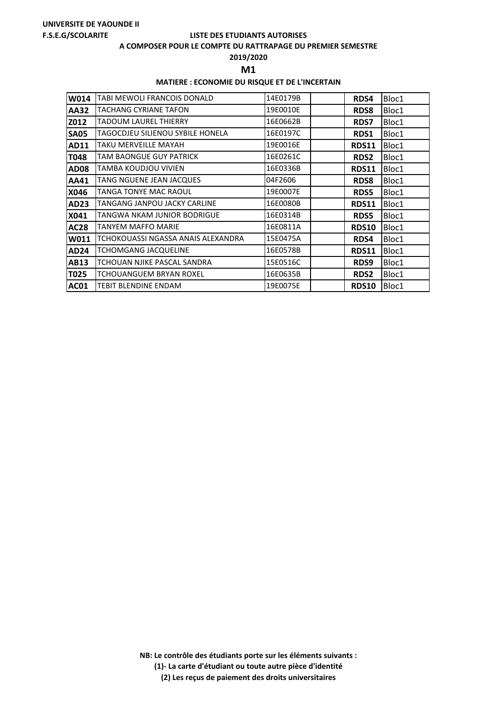#### **A COMPOSER POUR LE COMPTE DU RATTRAPAGE DU PREMIER SEMESTRE**

## **2019/2020**

**M1** 

## **MATIERE : ECONOMIE DU RISQUE ET DE L'INCERTAIN**

| W014        | TABI MEWOLI FRANCOIS DONALD        | 14E0179B | RDS4         | Bloc1 |
|-------------|------------------------------------|----------|--------------|-------|
| <b>AA32</b> | TACHANG CYRIANE TAFON              | 19E0010E | <b>RDS8</b>  | Bloc1 |
| Z012        | TADOUM LAUREL THIERRY              | 16E0662B | <b>RDS7</b>  | Bloc1 |
| <b>SA05</b> | TAGOCDJEU SILIENOU SYBILE HONELA   | 16E0197C | RDS1         | Bloc1 |
| AD11        | TAKU MERVEILLE MAYAH               | 19E0016E | <b>RDS11</b> | Bloc1 |
| T048        | TAM BAONGUE GUY PATRICK            | 16E0261C | <b>RDS2</b>  | Bloc1 |
| <b>AD08</b> | TAMBA KOUDJOU VIVIEN               | 16E0336B | <b>RDS11</b> | Bloc1 |
| AA41        | TANG NGUENE JEAN JACQUES           | 04F2606  | <b>RDS8</b>  | Bloc1 |
| X046        | TANGA TONYE MAC RAOUL              | 19E0007E | <b>RDS5</b>  | Bloc1 |
| AD23        | TANGANG JANPOU JACKY CARLINE       | 16E0080B | <b>RDS11</b> | Bloc1 |
| X041        | TANGWA NKAM JUNIOR BODRIGUE        | 16E0314B | <b>RDS5</b>  | Bloc1 |
| <b>AC28</b> | TANYEM MAFFO MARIE                 | 16E0811A | <b>RDS10</b> | Bloc1 |
| W011        | TCHOKOUASSI NGASSA ANAIS ALEXANDRA | 15E0475A | <b>RDS4</b>  | Bloc1 |
| <b>AD24</b> | TCHOMGANG JACQUELINE               | 16E0578B | <b>RDS11</b> | Bloc1 |
| <b>AB13</b> | TCHOUAN NJIKE PASCAL SANDRA        | 15E0516C | RDS9         | Bloc1 |
| T025        | TCHOUANGUEM BRYAN ROXEL            | 16E0635B | <b>RDS2</b>  | Bloc1 |
| <b>AC01</b> | TEBIT BLENDINE ENDAM               | 19E0075E | <b>RDS10</b> | Bloc1 |

**NB: Le contrôle des étudiants porte sur les éléments suivants : (1)- La carte d'étudiant ou toute autre pièce d'identité**